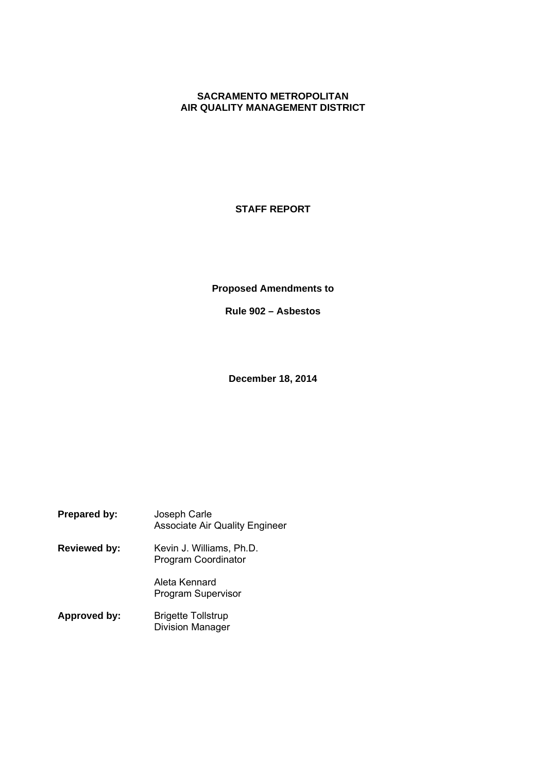### **SACRAMENTO METROPOLITAN AIR QUALITY MANAGEMENT DISTRICT**

**STAFF REPORT**

**Proposed Amendments to**

**Rule 902 – Asbestos**

**December 18, 2014**

| Prepared by:        | Joseph Carle<br><b>Associate Air Quality Engineer</b> |
|---------------------|-------------------------------------------------------|
| <b>Reviewed by:</b> | Kevin J. Williams, Ph.D.<br>Program Coordinator       |
|                     | Aleta Kennard<br>Program Supervisor                   |
| <b>Approved by:</b> | <b>Brigette Tollstrup</b><br><b>Division Manager</b>  |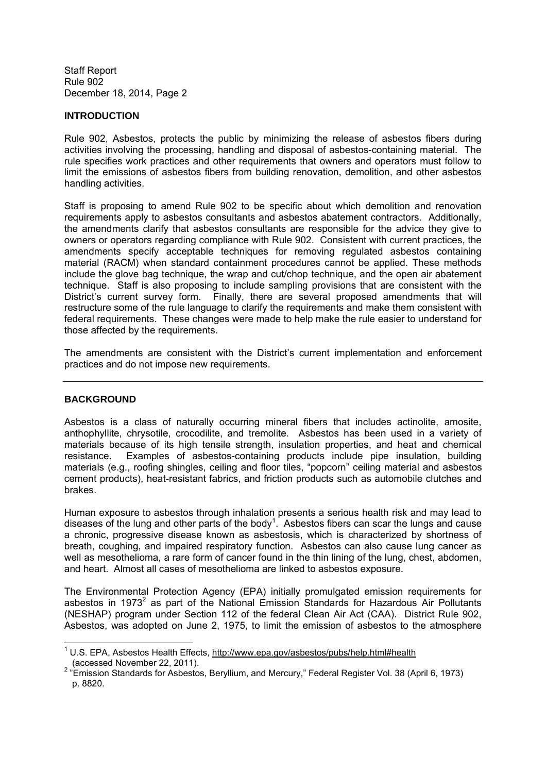### **INTRODUCTION**

Rule 902, Asbestos, protects the public by minimizing the release of asbestos fibers during activities involving the processing, handling and disposal of asbestos-containing material. The rule specifies work practices and other requirements that owners and operators must follow to limit the emissions of asbestos fibers from building renovation, demolition, and other asbestos handling activities.

Staff is proposing to amend Rule 902 to be specific about which demolition and renovation requirements apply to asbestos consultants and asbestos abatement contractors. Additionally, the amendments clarify that asbestos consultants are responsible for the advice they give to owners or operators regarding compliance with Rule 902. Consistent with current practices, the amendments specify acceptable techniques for removing regulated asbestos containing material (RACM) when standard containment procedures cannot be applied. These methods include the glove bag technique, the wrap and cut/chop technique, and the open air abatement technique. Staff is also proposing to include sampling provisions that are consistent with the District's current survey form. Finally, there are several proposed amendments that will restructure some of the rule language to clarify the requirements and make them consistent with federal requirements. These changes were made to help make the rule easier to understand for those affected by the requirements.

The amendments are consistent with the District's current implementation and enforcement practices and do not impose new requirements.

### **BACKGROUND**

Asbestos is a class of naturally occurring mineral fibers that includes actinolite, amosite, anthophyllite, chrysotile, crocodilite, and tremolite. Asbestos has been used in a variety of materials because of its high tensile strength, insulation properties, and heat and chemical resistance. Examples of asbestos-containing products include pipe insulation, building materials (e.g., roofing shingles, ceiling and floor tiles, "popcorn" ceiling material and asbestos cement products), heat-resistant fabrics, and friction products such as automobile clutches and brakes.

Human exposure to asbestos through inhalation presents a serious health risk and may lead to diseases of the lung and other parts of the body<sup>1</sup>. Asbestos fibers can scar the lungs and cause a chronic, progressive disease known as asbestosis, which is characterized by shortness of breath, coughing, and impaired respiratory function. Asbestos can also cause lung cancer as well as mesothelioma, a rare form of cancer found in the thin lining of the lung, chest, abdomen, and heart. Almost all cases of mesothelioma are linked to asbestos exposure.

The Environmental Protection Agency (EPA) initially promulgated emission requirements for asbestos in 1973<sup>2</sup> as part of the National Emission Standards for Hazardous Air Pollutants (NESHAP) program under Section 112 of the federal Clean Air Act (CAA). District Rule 902, Asbestos, was adopted on June 2, 1975, to limit the emission of asbestos to the atmosphere

<sup>&</sup>lt;sup>1</sup> U.S. EPA, Asbestos Health Effects, http://www.epa.gov/asbestos/pubs/help.html#health (accessed November 22, 2011).

<sup>&</sup>lt;sup>2</sup> "Emission Standards for Asbestos, Beryllium, and Mercury," Federal Register Vol. 38 (April 6, 1973) p. 8820.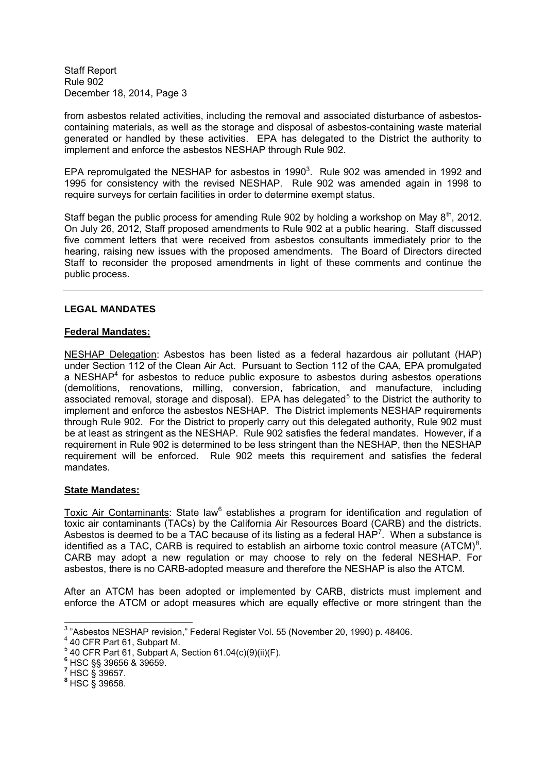from asbestos related activities, including the removal and associated disturbance of asbestoscontaining materials, as well as the storage and disposal of asbestos-containing waste material generated or handled by these activities. EPA has delegated to the District the authority to implement and enforce the asbestos NESHAP through Rule 902.

EPA repromulgated the NESHAP for asbestos in 1990 $^3$ . Rule 902 was amended in 1992 and 1995 for consistency with the revised NESHAP. Rule 902 was amended again in 1998 to require surveys for certain facilities in order to determine exempt status.

Staff began the public process for amending Rule 902 by holding a workshop on May  $8<sup>th</sup>$ , 2012. On July 26, 2012, Staff proposed amendments to Rule 902 at a public hearing. Staff discussed five comment letters that were received from asbestos consultants immediately prior to the hearing, raising new issues with the proposed amendments. The Board of Directors directed Staff to reconsider the proposed amendments in light of these comments and continue the public process.

### **LEGAL MANDATES**

### **Federal Mandates:**

NESHAP Delegation: Asbestos has been listed as a federal hazardous air pollutant (HAP) under Section 112 of the Clean Air Act. Pursuant to Section 112 of the CAA, EPA promulgated a NESHAP<sup>4</sup> for asbestos to reduce public exposure to asbestos during asbestos operations (demolitions, renovations, milling, conversion, fabrication, and manufacture, including associated removal, storage and disposal). EPA has delegated<sup>5</sup> to the District the authority to implement and enforce the asbestos NESHAP. The District implements NESHAP requirements through Rule 902. For the District to properly carry out this delegated authority, Rule 902 must be at least as stringent as the NESHAP. Rule 902 satisfies the federal mandates. However, if a requirement in Rule 902 is determined to be less stringent than the NESHAP, then the NESHAP requirement will be enforced. Rule 902 meets this requirement and satisfies the federal mandates.

### **State Mandates:**

Toxic Air Contaminants: State law<sup>6</sup> establishes a program for identification and regulation of toxic air contaminants (TACs) by the California Air Resources Board (CARB) and the districts. Asbestos is deemed to be a TAC because of its listing as a federal  $HAP<sup>7</sup>$ . When a substance is identified as a TAC, CARB is required to establish an airborne toxic control measure (ATCM) $^{8}$ . CARB may adopt a new regulation or may choose to rely on the federal NESHAP. For asbestos, there is no CARB-adopted measure and therefore the NESHAP is also the ATCM.

After an ATCM has been adopted or implemented by CARB, districts must implement and enforce the ATCM or adopt measures which are equally effective or more stringent than the

 $3$  "Asbestos NESHAP revision," Federal Register Vol. 55 (November 20, 1990) p. 48406.

<sup>4</sup> 40 CFR Part 61, Subpart M.

 $5$  40 CFR Part 61, Subpart A, Section 61.04(c)(9)(ii)(F).

**<sup>6</sup>** HSC §§ 39656 & 39659.

**<sup>7</sup>** HSC § 39657.

**<sup>8</sup>** HSC § 39658.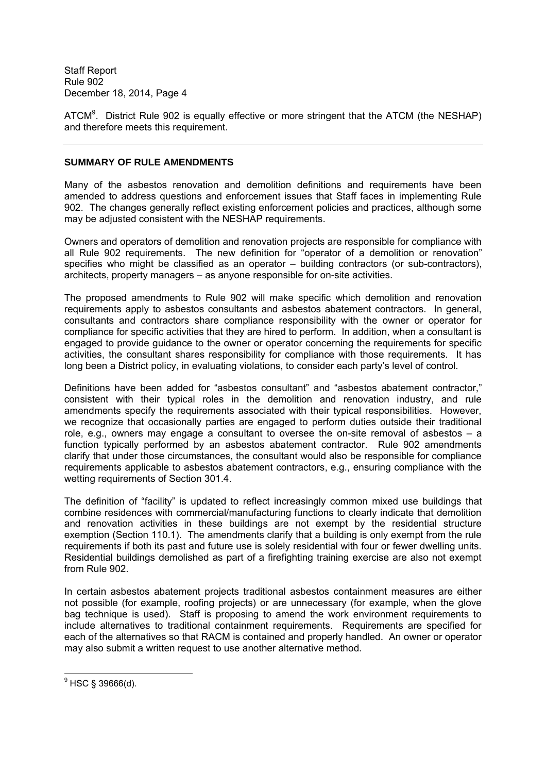ATCM<sup>9</sup>. District Rule 902 is equally effective or more stringent that the ATCM (the NESHAP) and therefore meets this requirement.

### **SUMMARY OF RULE AMENDMENTS**

Many of the asbestos renovation and demolition definitions and requirements have been amended to address questions and enforcement issues that Staff faces in implementing Rule 902. The changes generally reflect existing enforcement policies and practices, although some may be adjusted consistent with the NESHAP requirements.

Owners and operators of demolition and renovation projects are responsible for compliance with all Rule 902 requirements. The new definition for "operator of a demolition or renovation" specifies who might be classified as an operator – building contractors (or sub-contractors), architects, property managers – as anyone responsible for on-site activities.

The proposed amendments to Rule 902 will make specific which demolition and renovation requirements apply to asbestos consultants and asbestos abatement contractors. In general, consultants and contractors share compliance responsibility with the owner or operator for compliance for specific activities that they are hired to perform. In addition, when a consultant is engaged to provide guidance to the owner or operator concerning the requirements for specific activities, the consultant shares responsibility for compliance with those requirements. It has long been a District policy, in evaluating violations, to consider each party's level of control.

Definitions have been added for "asbestos consultant" and "asbestos abatement contractor," consistent with their typical roles in the demolition and renovation industry, and rule amendments specify the requirements associated with their typical responsibilities. However, we recognize that occasionally parties are engaged to perform duties outside their traditional role, e.g., owners may engage a consultant to oversee the on-site removal of asbestos  $-$  a function typically performed by an asbestos abatement contractor. Rule 902 amendments clarify that under those circumstances, the consultant would also be responsible for compliance requirements applicable to asbestos abatement contractors, e.g., ensuring compliance with the wetting requirements of Section 301.4.

The definition of "facility" is updated to reflect increasingly common mixed use buildings that combine residences with commercial/manufacturing functions to clearly indicate that demolition and renovation activities in these buildings are not exempt by the residential structure exemption (Section 110.1). The amendments clarify that a building is only exempt from the rule requirements if both its past and future use is solely residential with four or fewer dwelling units. Residential buildings demolished as part of a firefighting training exercise are also not exempt from Rule 902.

In certain asbestos abatement projects traditional asbestos containment measures are either not possible (for example, roofing projects) or are unnecessary (for example, when the glove bag technique is used). Staff is proposing to amend the work environment requirements to include alternatives to traditional containment requirements. Requirements are specified for each of the alternatives so that RACM is contained and properly handled. An owner or operator may also submit a written request to use another alternative method.

 $9$  HSC § 39666(d).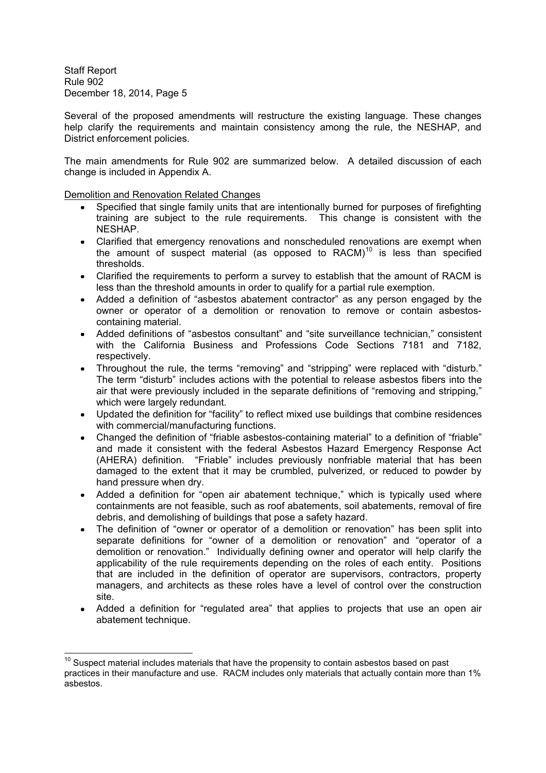Several of the proposed amendments will restructure the existing language. These changes help clarify the requirements and maintain consistency among the rule, the NESHAP, and District enforcement policies.

The main amendments for Rule 902 are summarized below. A detailed discussion of each change is included in Appendix A.

Demolition and Renovation Related Changes

- Specified that single family units that are intentionally burned for purposes of firefighting training are subject to the rule requirements. This change is consistent with the NESHAP.
- Clarified that emergency renovations and nonscheduled renovations are exempt when the amount of suspect material (as opposed to  $RACM$ )<sup>10</sup> is less than specified thresholds.
- Clarified the requirements to perform a survey to establish that the amount of RACM is less than the threshold amounts in order to qualify for a partial rule exemption.
- Added a definition of "asbestos abatement contractor" as any person engaged by the owner or operator of a demolition or renovation to remove or contain asbestoscontaining material.
- Added definitions of "asbestos consultant" and "site surveillance technician," consistent with the California Business and Professions Code Sections 7181 and 7182, respectively.
- Throughout the rule, the terms "removing" and "stripping" were replaced with "disturb." The term "disturb" includes actions with the potential to release asbestos fibers into the air that were previously included in the separate definitions of "removing and stripping," which were largely redundant.
- Updated the definition for "facility" to reflect mixed use buildings that combine residences with commercial/manufacturing functions.
- Changed the definition of "friable asbestos-containing material" to a definition of "friable" and made it consistent with the federal Asbestos Hazard Emergency Response Act (AHERA) definition. "Friable" includes previously nonfriable material that has been damaged to the extent that it may be crumbled, pulverized, or reduced to powder by hand pressure when dry.
- Added a definition for "open air abatement technique," which is typically used where containments are not feasible, such as roof abatements, soil abatements, removal of fire debris, and demolishing of buildings that pose a safety hazard.
- The definition of "owner or operator of a demolition or renovation" has been split into  $\bullet$ separate definitions for "owner of a demolition or renovation" and "operator of a demolition or renovation." Individually defining owner and operator will help clarify the applicability of the rule requirements depending on the roles of each entity. Positions that are included in the definition of operator are supervisors, contractors, property managers, and architects as these roles have a level of control over the construction site.
- Added a definition for "regulated area" that applies to projects that use an open air abatement technique.

 $10$  Suspect material includes materials that have the propensity to contain asbestos based on past practices in their manufacture and use. RACM includes only materials that actually contain more than 1% asbestos.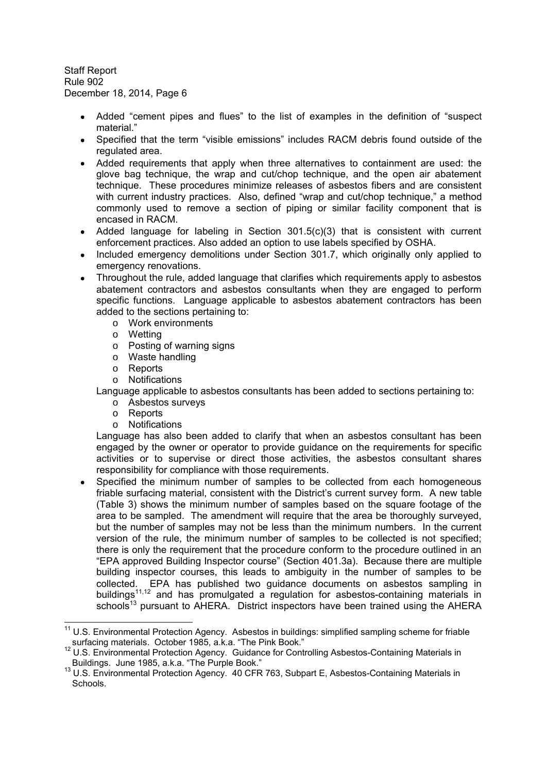- Added "cement pipes and flues" to the list of examples in the definition of "suspect" material.
- Specified that the term "visible emissions" includes RACM debris found outside of the regulated area.
- Added requirements that apply when three alternatives to containment are used: the glove bag technique, the wrap and cut/chop technique, and the open air abatement technique. These procedures minimize releases of asbestos fibers and are consistent with current industry practices. Also, defined "wrap and cut/chop technique," a method commonly used to remove a section of piping or similar facility component that is encased in RACM.
- Added language for labeling in Section 301.5(c)(3) that is consistent with current enforcement practices. Also added an option to use labels specified by OSHA.
- Included emergency demolitions under Section 301.7, which originally only applied to emergency renovations.
- Throughout the rule, added language that clarifies which requirements apply to asbestos abatement contractors and asbestos consultants when they are engaged to perform specific functions. Language applicable to asbestos abatement contractors has been added to the sections pertaining to:
	- o Work environments
	- o Wetting
	- o Posting of warning signs
	- o Waste handling
	- o Reports
	- o Notifications

Language applicable to asbestos consultants has been added to sections pertaining to:

- o Asbestos surveys
- o Reports
- o Notifications

Language has also been added to clarify that when an asbestos consultant has been engaged by the owner or operator to provide guidance on the requirements for specific activities or to supervise or direct those activities, the asbestos consultant shares responsibility for compliance with those requirements.

Specified the minimum number of samples to be collected from each homogeneous friable surfacing material, consistent with the District's current survey form. A new table (Table 3) shows the minimum number of samples based on the square footage of the area to be sampled. The amendment will require that the area be thoroughly surveyed, but the number of samples may not be less than the minimum numbers. In the current version of the rule, the minimum number of samples to be collected is not specified; there is only the requirement that the procedure conform to the procedure outlined in an "EPA approved Building Inspector course" (Section 401.3a). Because there are multiple building inspector courses, this leads to ambiguity in the number of samples to be collected. EPA has published two guidance documents on asbestos sampling in buildings<sup>11,12</sup> and has promulgated a regulation for asbestos-containing materials in schools<sup>13</sup> pursuant to AHERA. District inspectors have been trained using the AHERA

<sup>&</sup>lt;sup>11</sup> U.S. Environmental Protection Agency. Asbestos in buildings: simplified sampling scheme for friable surfacing materials. October 1985, a.k.a. "The Pink Book."

<sup>&</sup>lt;sup>12</sup> U.S. Environmental Protection Agency. Guidance for Controlling Asbestos-Containing Materials in Buildings. June 1985, a.k.a. "The Purple Book."

<sup>13</sup> U.S. Environmental Protection Agency. 40 CFR 763, Subpart E, Asbestos-Containing Materials in Schools.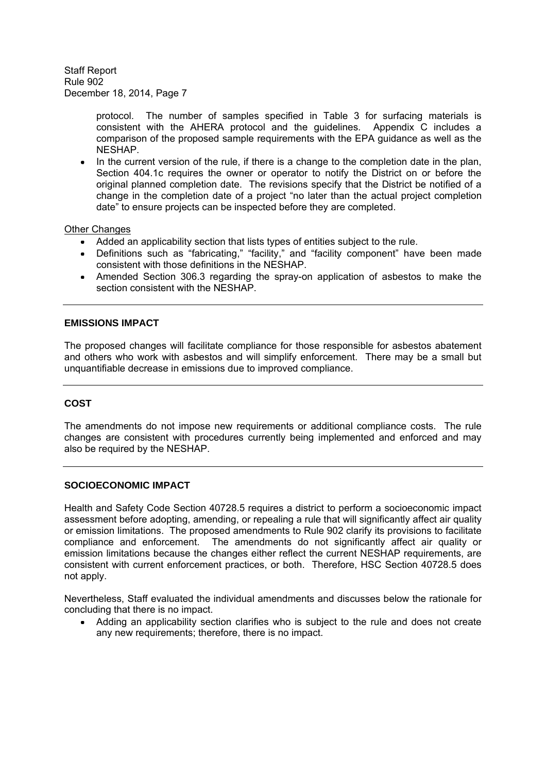> protocol. The number of samples specified in Table 3 for surfacing materials is consistent with the AHERA protocol and the guidelines. Appendix C includes a comparison of the proposed sample requirements with the EPA guidance as well as the NESHAP.

In the current version of the rule, if there is a change to the completion date in the plan, Section 404.1c requires the owner or operator to notify the District on or before the original planned completion date. The revisions specify that the District be notified of a change in the completion date of a project "no later than the actual project completion date" to ensure projects can be inspected before they are completed.

### Other Changes

- Added an applicability section that lists types of entities subject to the rule.
- Definitions such as "fabricating," "facility," and "facility component" have been made consistent with those definitions in the NESHAP.
- Amended Section 306.3 regarding the spray-on application of asbestos to make the section consistent with the NESHAP.

### **EMISSIONS IMPACT**

The proposed changes will facilitate compliance for those responsible for asbestos abatement and others who work with asbestos and will simplify enforcement. There may be a small but unquantifiable decrease in emissions due to improved compliance.

### **COST**

The amendments do not impose new requirements or additional compliance costs. The rule changes are consistent with procedures currently being implemented and enforced and may also be required by the NESHAP.

### **SOCIOECONOMIC IMPACT**

Health and Safety Code Section 40728.5 requires a district to perform a socioeconomic impact assessment before adopting, amending, or repealing a rule that will significantly affect air quality or emission limitations. The proposed amendments to Rule 902 clarify its provisions to facilitate compliance and enforcement. The amendments do not significantly affect air quality or emission limitations because the changes either reflect the current NESHAP requirements, are consistent with current enforcement practices, or both. Therefore, HSC Section 40728.5 does not apply.

Nevertheless, Staff evaluated the individual amendments and discusses below the rationale for concluding that there is no impact.

Adding an applicability section clarifies who is subject to the rule and does not create any new requirements; therefore, there is no impact.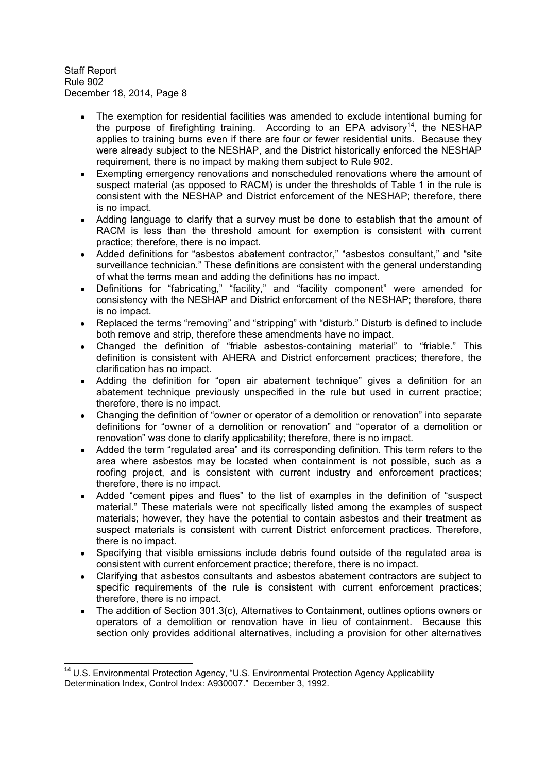- The exemption for residential facilities was amended to exclude intentional burning for the purpose of firefighting training. According to an EPA advisory<sup>14</sup>, the NESHAP applies to training burns even if there are four or fewer residential units. Because they were already subject to the NESHAP, and the District historically enforced the NESHAP requirement, there is no impact by making them subject to Rule 902.
- Exempting emergency renovations and nonscheduled renovations where the amount of suspect material (as opposed to RACM) is under the thresholds of Table 1 in the rule is consistent with the NESHAP and District enforcement of the NESHAP; therefore, there is no impact.
- Adding language to clarify that a survey must be done to establish that the amount of RACM is less than the threshold amount for exemption is consistent with current practice; therefore, there is no impact.
- Added definitions for "asbestos abatement contractor," "asbestos consultant," and "site surveillance technician." These definitions are consistent with the general understanding of what the terms mean and adding the definitions has no impact.
- Definitions for "fabricating," "facility," and "facility component" were amended for consistency with the NESHAP and District enforcement of the NESHAP; therefore, there is no impact.
- Replaced the terms "removing" and "stripping" with "disturb." Disturb is defined to include both remove and strip, therefore these amendments have no impact.
- Changed the definition of "friable asbestos-containing material" to "friable." This  $\bullet$ definition is consistent with AHERA and District enforcement practices; therefore, the clarification has no impact.
- Adding the definition for "open air abatement technique" gives a definition for an abatement technique previously unspecified in the rule but used in current practice; therefore, there is no impact.
- Changing the definition of "owner or operator of a demolition or renovation" into separate definitions for "owner of a demolition or renovation" and "operator of a demolition or renovation" was done to clarify applicability; therefore, there is no impact.
- Added the term "regulated area" and its corresponding definition. This term refers to the area where asbestos may be located when containment is not possible, such as a roofing project, and is consistent with current industry and enforcement practices; therefore, there is no impact.
- Added "cement pipes and flues" to the list of examples in the definition of "suspect" material." These materials were not specifically listed among the examples of suspect materials; however, they have the potential to contain asbestos and their treatment as suspect materials is consistent with current District enforcement practices. Therefore, there is no impact.
- Specifying that visible emissions include debris found outside of the regulated area is consistent with current enforcement practice; therefore, there is no impact.
- Clarifying that asbestos consultants and asbestos abatement contractors are subject to specific requirements of the rule is consistent with current enforcement practices; therefore, there is no impact.
- The addition of Section 301.3(c), Alternatives to Containment, outlines options owners or operators of a demolition or renovation have in lieu of containment. Because this section only provides additional alternatives, including a provision for other alternatives

<sup>&</sup>lt;sup>14</sup> U.S. Environmental Protection Agency, "U.S. Environmental Protection Agency Applicability Determination Index, Control Index; A930007." December 3, 1992.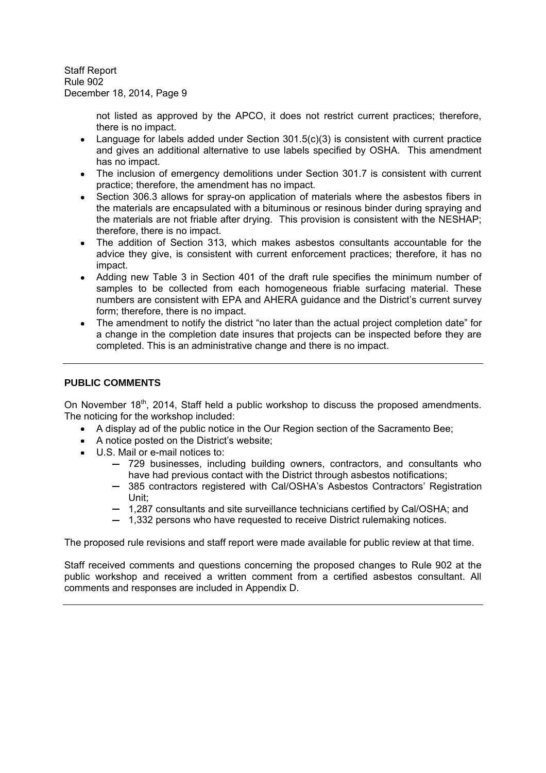> not listed as approved by the APCO, it does not restrict current practices; therefore, there is no impact.

- Language for labels added under Section 301.5(c)(3) is consistent with current practice and gives an additional alternative to use labels specified by OSHA. This amendment has no impact.
- The inclusion of emergency demolitions under Section 301.7 is consistent with current practice; therefore, the amendment has no impact.
- Section 306.3 allows for spray-on application of materials where the asbestos fibers in the materials are encapsulated with a bituminous or resinous binder during spraying and the materials are not friable after drying. This provision is consistent with the NESHAP; therefore, there is no impact.
- The addition of Section 313, which makes asbestos consultants accountable for the advice they give, is consistent with current enforcement practices; therefore, it has no impact.
- Adding new Table 3 in Section 401 of the draft rule specifies the minimum number of samples to be collected from each homogeneous friable surfacing material. These numbers are consistent with EPA and AHERA guidance and the District's current survey form; therefore, there is no impact.
- The amendment to notify the district "no later than the actual project completion date" for a change in the completion date insures that projects can be inspected before they are completed. This is an administrative change and there is no impact.

### **PUBLIC COMMENTS**

On November 18<sup>th</sup>, 2014, Staff held a public workshop to discuss the proposed amendments. The noticing for the workshop included:

- A display ad of the public notice in the Our Region section of the Sacramento Bee;
- $\bullet$  A notice posted on the District's website:
- U.S. Mail or e-mail notices to:
	- 729 businesses, including building owners, contractors, and consultants who have had previous contact with the District through asbestos notifications;
	- 385 contractors registered with Cal/OSHA's Asbestos Contractors' Registration Unit;
	- 1,287 consultants and site surveillance technicians certified by Cal/OSHA; and
	- 1,332 persons who have requested to receive District rulemaking notices.

The proposed rule revisions and staff report were made available for public review at that time.

Staff received comments and questions concerning the proposed changes to Rule 902 at the public workshop and received a written comment from a certified asbestos consultant. All comments and responses are included in Appendix D.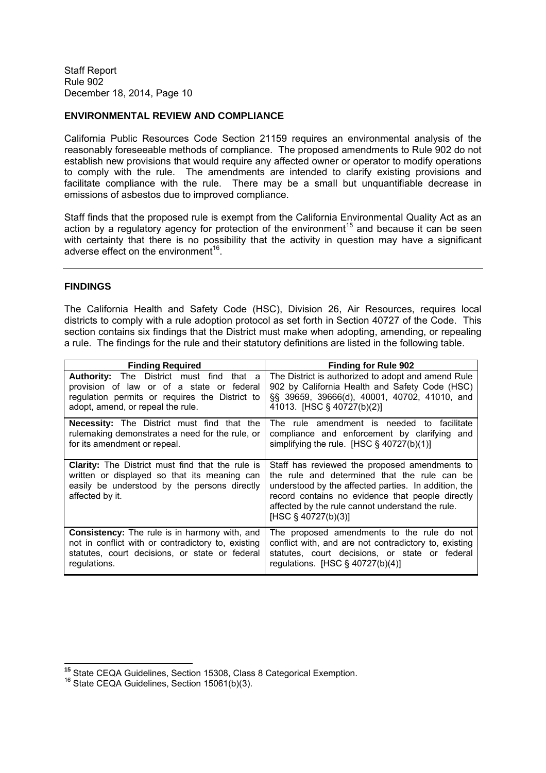### **ENVIRONMENTAL REVIEW AND COMPLIANCE**

California Public Resources Code Section 21159 requires an environmental analysis of the reasonably foreseeable methods of compliance. The proposed amendments to Rule 902 do not establish new provisions that would require any affected owner or operator to modify operations to comply with the rule. The amendments are intended to clarify existing provisions and facilitate compliance with the rule. There may be a small but unquantifiable decrease in emissions of asbestos due to improved compliance.

Staff finds that the proposed rule is exempt from the California Environmental Quality Act as an action by a regulatory agency for protection of the environment<sup>15</sup> and because it can be seen with certainty that there is no possibility that the activity in question may have a significant adverse effect on the environment<sup>16</sup>.

### **FINDINGS**

The California Health and Safety Code (HSC), Division 26, Air Resources, requires local districts to comply with a rule adoption protocol as set forth in Section 40727 of the Code. This section contains six findings that the District must make when adopting, amending, or repealing a rule. The findings for the rule and their statutory definitions are listed in the following table.

| <b>Finding Required</b>                                                                                                                                                                | <b>Finding for Rule 902</b>                                                                                                                                                                                                                                                             |
|----------------------------------------------------------------------------------------------------------------------------------------------------------------------------------------|-----------------------------------------------------------------------------------------------------------------------------------------------------------------------------------------------------------------------------------------------------------------------------------------|
| <b>Authority:</b> The District must find<br>that a<br>provision of law or of a state or federal<br>regulation permits or requires the District to<br>adopt, amend, or repeal the rule. | The District is authorized to adopt and amend Rule<br>902 by California Health and Safety Code (HSC)<br>§§ 39659, 39666(d), 40001, 40702, 41010, and<br>41013. [HSC § 40727(b)(2)]                                                                                                      |
| <b>Necessity:</b> The District must find that the<br>rulemaking demonstrates a need for the rule, or<br>for its amendment or repeal.                                                   | The rule amendment is needed to facilitate<br>compliance and enforcement by clarifying and<br>simplifying the rule. [HSC $\S$ 40727(b)(1)]                                                                                                                                              |
| <b>Clarity:</b> The District must find that the rule is<br>written or displayed so that its meaning can<br>easily be understood by the persons directly<br>affected by it.             | Staff has reviewed the proposed amendments to<br>the rule and determined that the rule can be<br>understood by the affected parties. In addition, the<br>record contains no evidence that people directly<br>affected by the rule cannot understand the rule.<br>[HSC $\S$ 40727(b)(3)] |
| <b>Consistency:</b> The rule is in harmony with, and<br>not in conflict with or contradictory to, existing<br>statutes, court decisions, or state or federal<br>regulations.           | The proposed amendments to the rule do not<br>conflict with, and are not contradictory to, existing<br>statutes, court decisions, or state or federal<br>regulations. $[HSC \S 40727(b)(4)]$                                                                                            |

**<sup>15</sup>** State CEQA Guidelines, Section 15308, Class 8 Categorical Exemption.

 $16$  State CEQA Guidelines, Section 15061(b)(3).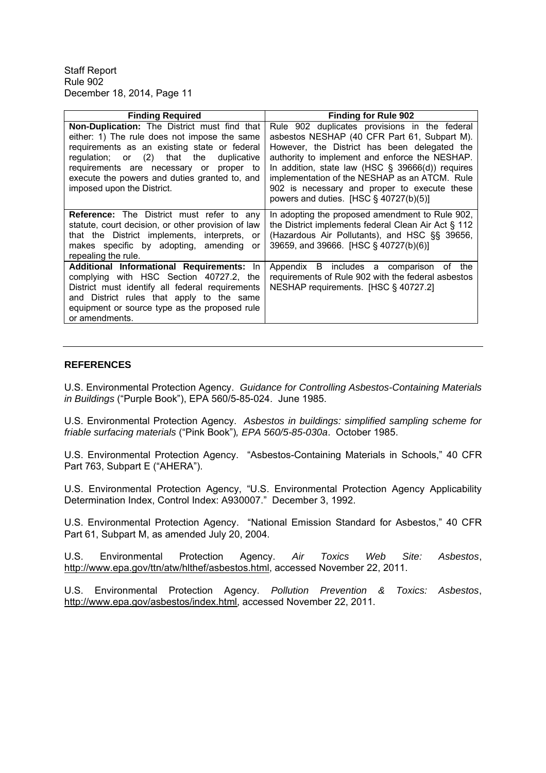| <b>Finding Required</b>                                                                                                                                                                                                                                                                                                 | <b>Finding for Rule 902</b>                                                                                                                                                                                                                                                                                                                                                                          |
|-------------------------------------------------------------------------------------------------------------------------------------------------------------------------------------------------------------------------------------------------------------------------------------------------------------------------|------------------------------------------------------------------------------------------------------------------------------------------------------------------------------------------------------------------------------------------------------------------------------------------------------------------------------------------------------------------------------------------------------|
| Non-Duplication: The District must find that<br>either: 1) The rule does not impose the same<br>requirements as an existing state or federal<br>regulation; or (2) that the<br>duplicative<br>requirements are necessary or proper<br>to<br>execute the powers and duties granted to, and<br>imposed upon the District. | Rule 902 duplicates provisions in the federal<br>asbestos NESHAP (40 CFR Part 61, Subpart M).<br>However, the District has been delegated the<br>authority to implement and enforce the NESHAP.<br>In addition, state law (HSC $\S$ 39666(d)) requires<br>implementation of the NESHAP as an ATCM. Rule<br>902 is necessary and proper to execute these<br>powers and duties. $[HSC \S 40727(b)(5)]$ |
| Reference: The District must refer to any<br>statute, court decision, or other provision of law<br>that the District implements, interprets, or<br>makes specific by adopting, amending or<br>repealing the rule.                                                                                                       | In adopting the proposed amendment to Rule 902,<br>the District implements federal Clean Air Act $\S$ 112<br>(Hazardous Air Pollutants), and HSC §§ 39656,<br>39659, and 39666. [HSC § 40727(b)(6)]                                                                                                                                                                                                  |
| Additional Informational Requirements: In<br>complying with HSC Section 40727.2, the<br>District must identify all federal requirements<br>and District rules that apply to the same<br>equipment or source type as the proposed rule<br>or amendments.                                                                 | Appendix B includes a comparison of<br>the<br>requirements of Rule 902 with the federal asbestos<br>NESHAP requirements. [HSC § 40727.2]                                                                                                                                                                                                                                                             |

### **REFERENCES**

U.S. Environmental Protection Agency. *Guidance for Controlling Asbestos-Containing Materials in Buildings* ("Purple Book"), EPA 560/5-85-024. June 1985.

U.S. Environmental Protection Agency. *Asbestos in buildings: simplified sampling scheme for friable surfacing materials* ("Pink Book"), *EPA 560/5-85-030a*. October 1985.

U.S. Environmental Protection Agency. "Asbestos-Containing Materials in Schools," 40 CFR Part 763, Subpart E ("AHERA").

U.S. Environmental Protection Agency, "U.S. Environmental Protection Agency Applicability Determination Index, Control Index: A930007." December 3, 1992.

U.S. Environmental Protection Agency. "National Emission Standard for Asbestos," 40 CFR Part 61, Subpart M, as amended July 20, 2004.

U.S. Environmental Protection Agency. *Air Toxics Web Site: Asbestos*, http://www.epa.gov/ttn/atw/hlthef/asbestos.html, accessed November 22, 2011.

U.S. Environmental Protection Agency. *Pollution Prevention & Toxics: Asbestos*, http://www.epa.gov/asbestos/index.html, accessed November 22, 2011.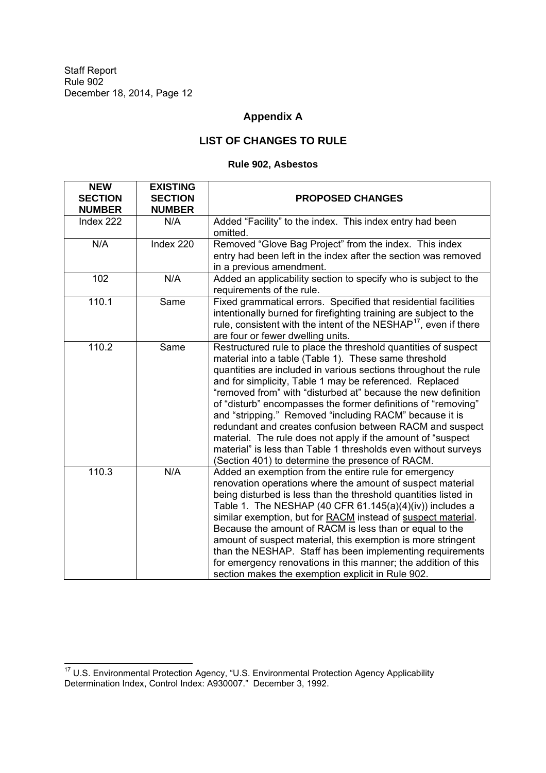### **Appendix A**

### **LIST OF CHANGES TO RULE**

### **Rule 902, Asbestos**

| <b>NEW</b><br><b>SECTION</b><br><b>NUMBER</b> | <b>EXISTING</b><br><b>SECTION</b><br><b>NUMBER</b> | <b>PROPOSED CHANGES</b>                                                                                                                                                                                                                                                                                                                                                                                                                                                                                                                                                                                                                                                                             |
|-----------------------------------------------|----------------------------------------------------|-----------------------------------------------------------------------------------------------------------------------------------------------------------------------------------------------------------------------------------------------------------------------------------------------------------------------------------------------------------------------------------------------------------------------------------------------------------------------------------------------------------------------------------------------------------------------------------------------------------------------------------------------------------------------------------------------------|
| Index 222                                     | N/A                                                | Added "Facility" to the index. This index entry had been<br>omitted.                                                                                                                                                                                                                                                                                                                                                                                                                                                                                                                                                                                                                                |
| N/A                                           | Index 220                                          | Removed "Glove Bag Project" from the index. This index<br>entry had been left in the index after the section was removed<br>in a previous amendment.                                                                                                                                                                                                                                                                                                                                                                                                                                                                                                                                                |
| 102                                           | N/A                                                | Added an applicability section to specify who is subject to the<br>requirements of the rule.                                                                                                                                                                                                                                                                                                                                                                                                                                                                                                                                                                                                        |
| 110.1                                         | Same                                               | Fixed grammatical errors. Specified that residential facilities<br>intentionally burned for firefighting training are subject to the<br>rule, consistent with the intent of the NESHAP <sup>17</sup> , even if there<br>are four or fewer dwelling units.                                                                                                                                                                                                                                                                                                                                                                                                                                           |
| 110.2                                         | Same                                               | Restructured rule to place the threshold quantities of suspect<br>material into a table (Table 1). These same threshold<br>quantities are included in various sections throughout the rule<br>and for simplicity, Table 1 may be referenced. Replaced<br>"removed from" with "disturbed at" because the new definition<br>of "disturb" encompasses the former definitions of "removing"<br>and "stripping." Removed "including RACM" because it is<br>redundant and creates confusion between RACM and suspect<br>material. The rule does not apply if the amount of "suspect<br>material" is less than Table 1 thresholds even without surveys<br>(Section 401) to determine the presence of RACM. |
| 110.3                                         | N/A                                                | Added an exemption from the entire rule for emergency<br>renovation operations where the amount of suspect material<br>being disturbed is less than the threshold quantities listed in<br>Table 1. The NESHAP (40 CFR 61.145(a)(4)(iv)) includes a<br>similar exemption, but for RACM instead of suspect material.<br>Because the amount of RACM is less than or equal to the<br>amount of suspect material, this exemption is more stringent<br>than the NESHAP. Staff has been implementing requirements<br>for emergency renovations in this manner; the addition of this<br>section makes the exemption explicit in Rule 902.                                                                   |

 $17$  U.S. Environmental Protection Agency, "U.S. Environmental Protection Agency Applicability Determination Index, Control Index: A930007." December 3, 1992.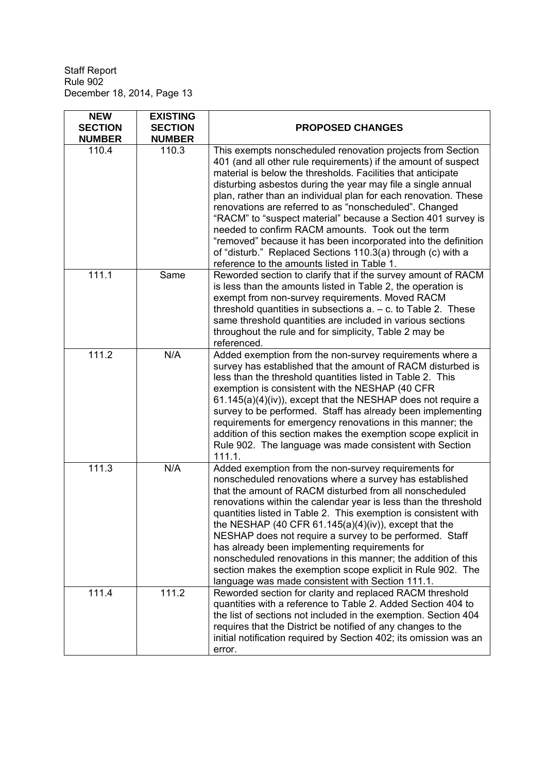| <b>NEW</b><br><b>SECTION</b><br><b>NUMBER</b> | <b>EXISTING</b><br><b>SECTION</b><br><b>NUMBER</b> | <b>PROPOSED CHANGES</b>                                                                                                                                                                                                                                                                                                                                                                                                                                                                                                                                                                                                                                                                        |
|-----------------------------------------------|----------------------------------------------------|------------------------------------------------------------------------------------------------------------------------------------------------------------------------------------------------------------------------------------------------------------------------------------------------------------------------------------------------------------------------------------------------------------------------------------------------------------------------------------------------------------------------------------------------------------------------------------------------------------------------------------------------------------------------------------------------|
| 110.4                                         | 110.3                                              | This exempts nonscheduled renovation projects from Section<br>401 (and all other rule requirements) if the amount of suspect<br>material is below the thresholds. Facilities that anticipate<br>disturbing asbestos during the year may file a single annual<br>plan, rather than an individual plan for each renovation. These<br>renovations are referred to as "nonscheduled". Changed<br>"RACM" to "suspect material" because a Section 401 survey is<br>needed to confirm RACM amounts. Took out the term<br>"removed" because it has been incorporated into the definition<br>of "disturb." Replaced Sections 110.3(a) through (c) with a<br>reference to the amounts listed in Table 1. |
| 111.1                                         | Same                                               | Reworded section to clarify that if the survey amount of RACM<br>is less than the amounts listed in Table 2, the operation is<br>exempt from non-survey requirements. Moved RACM<br>threshold quantities in subsections $a - c$ . to Table 2. These<br>same threshold quantities are included in various sections<br>throughout the rule and for simplicity, Table 2 may be<br>referenced.                                                                                                                                                                                                                                                                                                     |
| 111.2                                         | N/A                                                | Added exemption from the non-survey requirements where a<br>survey has established that the amount of RACM disturbed is<br>less than the threshold quantities listed in Table 2. This<br>exemption is consistent with the NESHAP (40 CFR<br>$61.145(a)(4)(iv)$ , except that the NESHAP does not require a<br>survey to be performed. Staff has already been implementing<br>requirements for emergency renovations in this manner; the<br>addition of this section makes the exemption scope explicit in<br>Rule 902. The language was made consistent with Section<br>111.1.                                                                                                                 |
| 111.3                                         | N/A                                                | Added exemption from the non-survey requirements for<br>nonscheduled renovations where a survey has established<br>that the amount of RACM disturbed from all nonscheduled<br>renovations within the calendar year is less than the threshold<br>quantities listed in Table 2. This exemption is consistent with<br>the NESHAP (40 CFR $61.145(a)(4)(iv)$ ), except that the<br>NESHAP does not require a survey to be performed. Staff<br>has already been implementing requirements for<br>nonscheduled renovations in this manner; the addition of this<br>section makes the exemption scope explicit in Rule 902. The<br>language was made consistent with Section 111.1.                  |
| 111.4                                         | 111.2                                              | Reworded section for clarity and replaced RACM threshold<br>quantities with a reference to Table 2. Added Section 404 to<br>the list of sections not included in the exemption. Section 404<br>requires that the District be notified of any changes to the<br>initial notification required by Section 402; its omission was an<br>error.                                                                                                                                                                                                                                                                                                                                                     |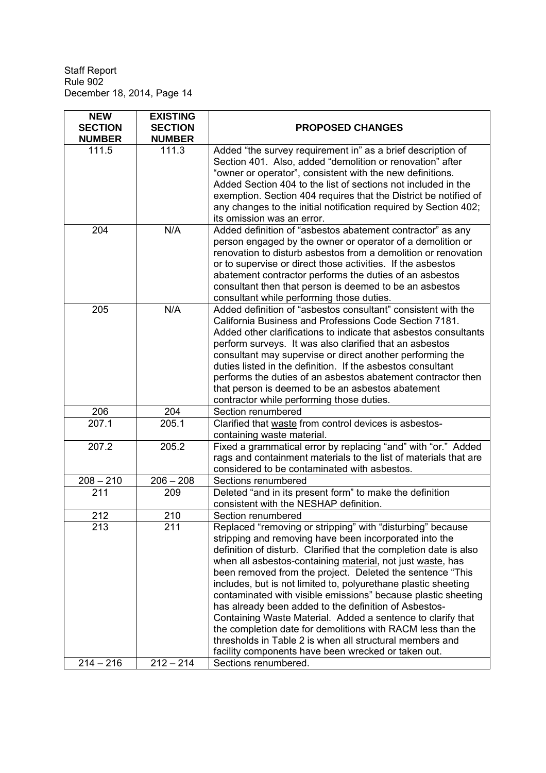| <b>NEW</b><br><b>SECTION</b><br><b>NUMBER</b> | <b>EXISTING</b><br><b>SECTION</b><br><b>NUMBER</b> | <b>PROPOSED CHANGES</b>                                                                                                                                                                                                                                                                                                                                                                                                                                                                                                                                                                                                                                                                                                                                           |
|-----------------------------------------------|----------------------------------------------------|-------------------------------------------------------------------------------------------------------------------------------------------------------------------------------------------------------------------------------------------------------------------------------------------------------------------------------------------------------------------------------------------------------------------------------------------------------------------------------------------------------------------------------------------------------------------------------------------------------------------------------------------------------------------------------------------------------------------------------------------------------------------|
| 111.5                                         | 111.3                                              | Added "the survey requirement in" as a brief description of<br>Section 401. Also, added "demolition or renovation" after<br>"owner or operator", consistent with the new definitions.<br>Added Section 404 to the list of sections not included in the<br>exemption. Section 404 requires that the District be notified of<br>any changes to the initial notification required by Section 402;<br>its omission was an error.                                                                                                                                                                                                                                                                                                                                      |
| 204                                           | N/A                                                | Added definition of "asbestos abatement contractor" as any<br>person engaged by the owner or operator of a demolition or<br>renovation to disturb asbestos from a demolition or renovation<br>or to supervise or direct those activities. If the asbestos<br>abatement contractor performs the duties of an asbestos<br>consultant then that person is deemed to be an asbestos<br>consultant while performing those duties.                                                                                                                                                                                                                                                                                                                                      |
| 205                                           | N/A                                                | Added definition of "asbestos consultant" consistent with the<br>California Business and Professions Code Section 7181.<br>Added other clarifications to indicate that asbestos consultants<br>perform surveys. It was also clarified that an asbestos<br>consultant may supervise or direct another performing the<br>duties listed in the definition. If the asbestos consultant<br>performs the duties of an asbestos abatement contractor then<br>that person is deemed to be an asbestos abatement<br>contractor while performing those duties.                                                                                                                                                                                                              |
| 206                                           | 204                                                | Section renumbered                                                                                                                                                                                                                                                                                                                                                                                                                                                                                                                                                                                                                                                                                                                                                |
| 207.1                                         | 205.1                                              | Clarified that waste from control devices is asbestos-<br>containing waste material.                                                                                                                                                                                                                                                                                                                                                                                                                                                                                                                                                                                                                                                                              |
| 207.2                                         | 205.2                                              | Fixed a grammatical error by replacing "and" with "or." Added<br>rags and containment materials to the list of materials that are<br>considered to be contaminated with asbestos.                                                                                                                                                                                                                                                                                                                                                                                                                                                                                                                                                                                 |
| $208 - 210$                                   | $206 - 208$                                        | Sections renumbered                                                                                                                                                                                                                                                                                                                                                                                                                                                                                                                                                                                                                                                                                                                                               |
| 211                                           | 209                                                | Deleted "and in its present form" to make the definition<br>consistent with the NESHAP definition.                                                                                                                                                                                                                                                                                                                                                                                                                                                                                                                                                                                                                                                                |
| 212                                           | 210                                                | Section renumbered                                                                                                                                                                                                                                                                                                                                                                                                                                                                                                                                                                                                                                                                                                                                                |
| 213                                           | 211                                                | Replaced "removing or stripping" with "disturbing" because<br>stripping and removing have been incorporated into the<br>definition of disturb. Clarified that the completion date is also<br>when all asbestos-containing material, not just waste, has<br>been removed from the project. Deleted the sentence "This<br>includes, but is not limited to, polyurethane plastic sheeting<br>contaminated with visible emissions" because plastic sheeting<br>has already been added to the definition of Asbestos-<br>Containing Waste Material. Added a sentence to clarify that<br>the completion date for demolitions with RACM less than the<br>thresholds in Table 2 is when all structural members and<br>facility components have been wrecked or taken out. |
| $214 - 216$                                   | $212 - 214$                                        | Sections renumbered.                                                                                                                                                                                                                                                                                                                                                                                                                                                                                                                                                                                                                                                                                                                                              |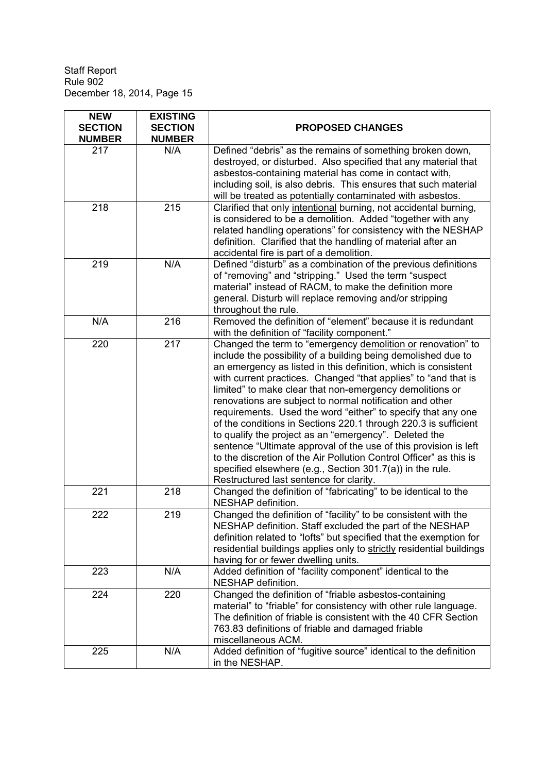| <b>NEW</b><br><b>SECTION</b><br><b>NUMBER</b> | <b>EXISTING</b><br><b>SECTION</b><br><b>NUMBER</b> | <b>PROPOSED CHANGES</b>                                                                                                                                                                                                                                                                                                                                                                                                                                                                                                                                                                                                                                                                                                                                                                                                                |
|-----------------------------------------------|----------------------------------------------------|----------------------------------------------------------------------------------------------------------------------------------------------------------------------------------------------------------------------------------------------------------------------------------------------------------------------------------------------------------------------------------------------------------------------------------------------------------------------------------------------------------------------------------------------------------------------------------------------------------------------------------------------------------------------------------------------------------------------------------------------------------------------------------------------------------------------------------------|
| 217                                           | N/A                                                | Defined "debris" as the remains of something broken down,<br>destroyed, or disturbed. Also specified that any material that<br>asbestos-containing material has come in contact with,<br>including soil, is also debris. This ensures that such material<br>will be treated as potentially contaminated with asbestos.                                                                                                                                                                                                                                                                                                                                                                                                                                                                                                                 |
| 218                                           | 215                                                | Clarified that only intentional burning, not accidental burning,<br>is considered to be a demolition. Added "together with any<br>related handling operations" for consistency with the NESHAP<br>definition. Clarified that the handling of material after an<br>accidental fire is part of a demolition.                                                                                                                                                                                                                                                                                                                                                                                                                                                                                                                             |
| 219                                           | N/A                                                | Defined "disturb" as a combination of the previous definitions<br>of "removing" and "stripping." Used the term "suspect<br>material" instead of RACM, to make the definition more<br>general. Disturb will replace removing and/or stripping<br>throughout the rule.                                                                                                                                                                                                                                                                                                                                                                                                                                                                                                                                                                   |
| N/A                                           | 216                                                | Removed the definition of "element" because it is redundant<br>with the definition of "facility component."                                                                                                                                                                                                                                                                                                                                                                                                                                                                                                                                                                                                                                                                                                                            |
| 220                                           | 217                                                | Changed the term to "emergency demolition or renovation" to<br>include the possibility of a building being demolished due to<br>an emergency as listed in this definition, which is consistent<br>with current practices. Changed "that applies" to "and that is<br>limited" to make clear that non-emergency demolitions or<br>renovations are subject to normal notification and other<br>requirements. Used the word "either" to specify that any one<br>of the conditions in Sections 220.1 through 220.3 is sufficient<br>to qualify the project as an "emergency". Deleted the<br>sentence "Ultimate approval of the use of this provision is left<br>to the discretion of the Air Pollution Control Officer" as this is<br>specified elsewhere (e.g., Section 301.7(a)) in the rule.<br>Restructured last sentence for clarity. |
| 221                                           | 218                                                | Changed the definition of "fabricating" to be identical to the<br>NESHAP definition.                                                                                                                                                                                                                                                                                                                                                                                                                                                                                                                                                                                                                                                                                                                                                   |
| 222                                           | 219                                                | Changed the definition of "facility" to be consistent with the<br>NESHAP definition. Staff excluded the part of the NESHAP<br>definition related to "lofts" but specified that the exemption for<br>residential buildings applies only to strictly residential buildings<br>having for or fewer dwelling units.                                                                                                                                                                                                                                                                                                                                                                                                                                                                                                                        |
| 223                                           | N/A                                                | Added definition of "facility component" identical to the<br>NESHAP definition.                                                                                                                                                                                                                                                                                                                                                                                                                                                                                                                                                                                                                                                                                                                                                        |
| 224                                           | 220                                                | Changed the definition of "friable asbestos-containing<br>material" to "friable" for consistency with other rule language.<br>The definition of friable is consistent with the 40 CFR Section<br>763.83 definitions of friable and damaged friable<br>miscellaneous ACM.                                                                                                                                                                                                                                                                                                                                                                                                                                                                                                                                                               |
| 225                                           | N/A                                                | Added definition of "fugitive source" identical to the definition<br>in the NESHAP.                                                                                                                                                                                                                                                                                                                                                                                                                                                                                                                                                                                                                                                                                                                                                    |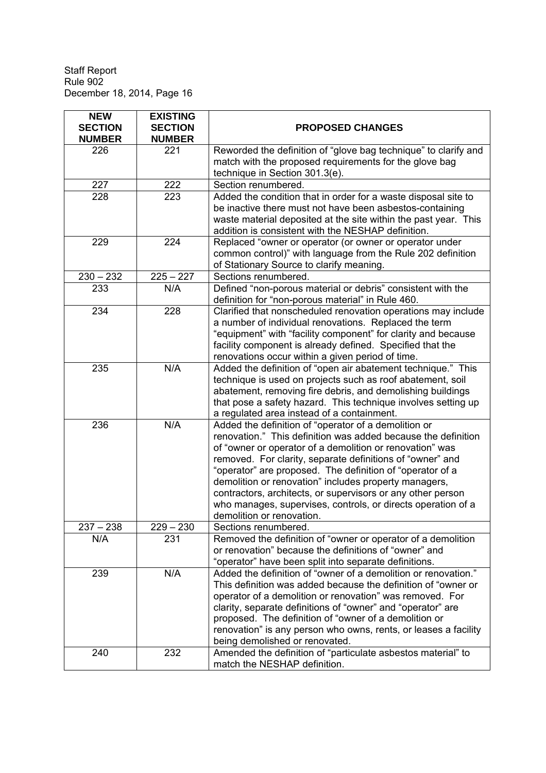| <b>NEW</b><br><b>SECTION</b><br><b>NUMBER</b> | <b>EXISTING</b><br><b>SECTION</b><br><b>NUMBER</b> | <b>PROPOSED CHANGES</b>                                                                                                                                                                                                                                                                                                                                                                                                                                                                                                          |
|-----------------------------------------------|----------------------------------------------------|----------------------------------------------------------------------------------------------------------------------------------------------------------------------------------------------------------------------------------------------------------------------------------------------------------------------------------------------------------------------------------------------------------------------------------------------------------------------------------------------------------------------------------|
| 226                                           | 221                                                | Reworded the definition of "glove bag technique" to clarify and<br>match with the proposed requirements for the glove bag<br>technique in Section 301.3(e).                                                                                                                                                                                                                                                                                                                                                                      |
| 227                                           | 222                                                | Section renumbered.                                                                                                                                                                                                                                                                                                                                                                                                                                                                                                              |
| 228                                           | 223                                                | Added the condition that in order for a waste disposal site to<br>be inactive there must not have been asbestos-containing<br>waste material deposited at the site within the past year. This<br>addition is consistent with the NESHAP definition.                                                                                                                                                                                                                                                                              |
| 229                                           | 224                                                | Replaced "owner or operator (or owner or operator under<br>common control)" with language from the Rule 202 definition<br>of Stationary Source to clarify meaning.                                                                                                                                                                                                                                                                                                                                                               |
| $230 - 232$                                   | $225 - 227$                                        | Sections renumbered.                                                                                                                                                                                                                                                                                                                                                                                                                                                                                                             |
| 233                                           | N/A                                                | Defined "non-porous material or debris" consistent with the<br>definition for "non-porous material" in Rule 460.                                                                                                                                                                                                                                                                                                                                                                                                                 |
| 234                                           | 228                                                | Clarified that nonscheduled renovation operations may include<br>a number of individual renovations. Replaced the term<br>"equipment" with "facility component" for clarity and because<br>facility component is already defined. Specified that the<br>renovations occur within a given period of time.                                                                                                                                                                                                                         |
| 235                                           | N/A                                                | Added the definition of "open air abatement technique." This<br>technique is used on projects such as roof abatement, soil<br>abatement, removing fire debris, and demolishing buildings<br>that pose a safety hazard. This technique involves setting up<br>a regulated area instead of a containment.                                                                                                                                                                                                                          |
| 236                                           | N/A                                                | Added the definition of "operator of a demolition or<br>renovation." This definition was added because the definition<br>of "owner or operator of a demolition or renovation" was<br>removed. For clarity, separate definitions of "owner" and<br>"operator" are proposed. The definition of "operator of a<br>demolition or renovation" includes property managers,<br>contractors, architects, or supervisors or any other person<br>who manages, supervises, controls, or directs operation of a<br>demolition or renovation. |
| 237 – 238                                     | $229 - 230$                                        | Sections renumbered.                                                                                                                                                                                                                                                                                                                                                                                                                                                                                                             |
| N/A                                           | 231                                                | Removed the definition of "owner or operator of a demolition<br>or renovation" because the definitions of "owner" and<br>"operator" have been split into separate definitions.                                                                                                                                                                                                                                                                                                                                                   |
| 239                                           | N/A                                                | Added the definition of "owner of a demolition or renovation."<br>This definition was added because the definition of "owner or<br>operator of a demolition or renovation" was removed. For<br>clarity, separate definitions of "owner" and "operator" are<br>proposed. The definition of "owner of a demolition or<br>renovation" is any person who owns, rents, or leases a facility<br>being demolished or renovated.                                                                                                         |
| 240                                           | 232                                                | Amended the definition of "particulate asbestos material" to<br>match the NESHAP definition.                                                                                                                                                                                                                                                                                                                                                                                                                                     |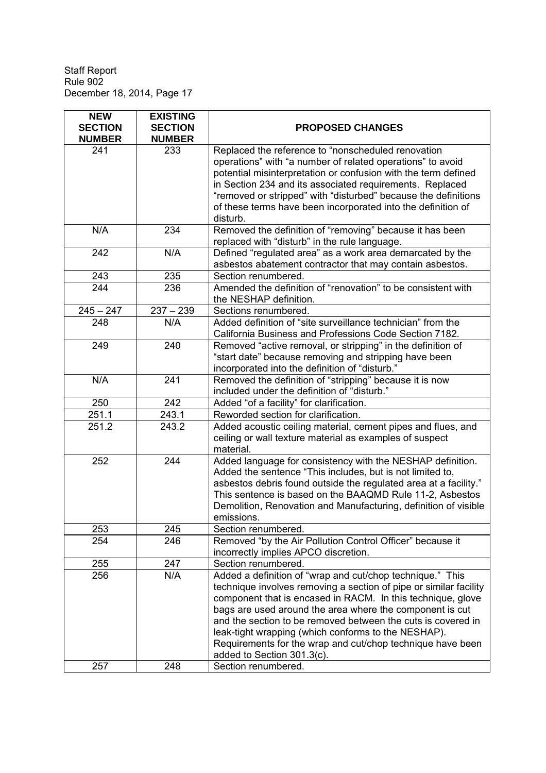| <b>NEW</b><br><b>SECTION</b><br><b>NUMBER</b> | <b>EXISTING</b><br><b>SECTION</b><br><b>NUMBER</b> | <b>PROPOSED CHANGES</b>                                                                                                                                                                                                                                                                                                                                                                                                                                                      |
|-----------------------------------------------|----------------------------------------------------|------------------------------------------------------------------------------------------------------------------------------------------------------------------------------------------------------------------------------------------------------------------------------------------------------------------------------------------------------------------------------------------------------------------------------------------------------------------------------|
| 241                                           | 233                                                | Replaced the reference to "nonscheduled renovation<br>operations" with "a number of related operations" to avoid<br>potential misinterpretation or confusion with the term defined<br>in Section 234 and its associated requirements. Replaced<br>"removed or stripped" with "disturbed" because the definitions                                                                                                                                                             |
|                                               |                                                    | of these terms have been incorporated into the definition of<br>disturb.                                                                                                                                                                                                                                                                                                                                                                                                     |
| N/A                                           | 234                                                | Removed the definition of "removing" because it has been<br>replaced with "disturb" in the rule language.                                                                                                                                                                                                                                                                                                                                                                    |
| 242                                           | N/A                                                | Defined "regulated area" as a work area demarcated by the<br>asbestos abatement contractor that may contain asbestos.                                                                                                                                                                                                                                                                                                                                                        |
| 243                                           | 235                                                | Section renumbered.                                                                                                                                                                                                                                                                                                                                                                                                                                                          |
| 244                                           | 236                                                | Amended the definition of "renovation" to be consistent with<br>the NESHAP definition.                                                                                                                                                                                                                                                                                                                                                                                       |
| $245 - 247$                                   | $237 - 239$                                        | Sections renumbered.                                                                                                                                                                                                                                                                                                                                                                                                                                                         |
| 248                                           | N/A                                                | Added definition of "site surveillance technician" from the<br>California Business and Professions Code Section 7182.                                                                                                                                                                                                                                                                                                                                                        |
| 249                                           | 240                                                | Removed "active removal, or stripping" in the definition of<br>"start date" because removing and stripping have been<br>incorporated into the definition of "disturb."                                                                                                                                                                                                                                                                                                       |
| N/A                                           | 241                                                | Removed the definition of "stripping" because it is now<br>included under the definition of "disturb."                                                                                                                                                                                                                                                                                                                                                                       |
| 250                                           | 242                                                | Added "of a facility" for clarification.                                                                                                                                                                                                                                                                                                                                                                                                                                     |
| 251.1                                         | 243.1                                              | Reworded section for clarification.                                                                                                                                                                                                                                                                                                                                                                                                                                          |
| 251.2                                         | 243.2                                              | Added acoustic ceiling material, cement pipes and flues, and<br>ceiling or wall texture material as examples of suspect<br>material.                                                                                                                                                                                                                                                                                                                                         |
| 252                                           | 244                                                | Added language for consistency with the NESHAP definition.<br>Added the sentence "This includes, but is not limited to,<br>asbestos debris found outside the regulated area at a facility."<br>This sentence is based on the BAAQMD Rule 11-2, Asbestos<br>Demolition, Renovation and Manufacturing, definition of visible<br>emissions.                                                                                                                                     |
| 253                                           | 245                                                | Section renumbered.                                                                                                                                                                                                                                                                                                                                                                                                                                                          |
| 254                                           | 246                                                | Removed "by the Air Pollution Control Officer" because it<br>incorrectly implies APCO discretion.                                                                                                                                                                                                                                                                                                                                                                            |
| 255                                           | 247                                                | Section renumbered.                                                                                                                                                                                                                                                                                                                                                                                                                                                          |
| 256                                           | N/A                                                | Added a definition of "wrap and cut/chop technique." This<br>technique involves removing a section of pipe or similar facility<br>component that is encased in RACM. In this technique, glove<br>bags are used around the area where the component is cut<br>and the section to be removed between the cuts is covered in<br>leak-tight wrapping (which conforms to the NESHAP).<br>Requirements for the wrap and cut/chop technique have been<br>added to Section 301.3(c). |
| 257                                           | 248                                                | Section renumbered.                                                                                                                                                                                                                                                                                                                                                                                                                                                          |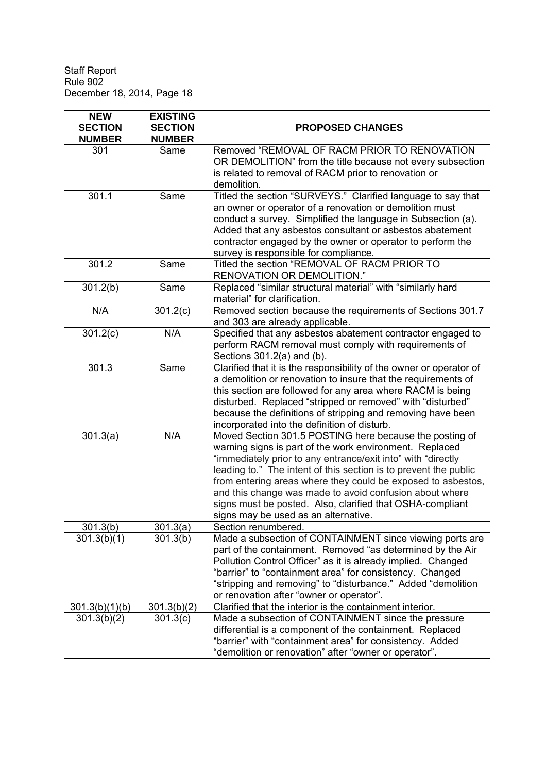| <b>NEW</b><br><b>SECTION</b><br><b>NUMBER</b> | <b>EXISTING</b><br><b>SECTION</b><br><b>NUMBER</b> | <b>PROPOSED CHANGES</b>                                                                                                                                                                                                                                                                                                                                                                                                                                                                |
|-----------------------------------------------|----------------------------------------------------|----------------------------------------------------------------------------------------------------------------------------------------------------------------------------------------------------------------------------------------------------------------------------------------------------------------------------------------------------------------------------------------------------------------------------------------------------------------------------------------|
| 301                                           | Same                                               | Removed "REMOVAL OF RACM PRIOR TO RENOVATION<br>OR DEMOLITION" from the title because not every subsection<br>is related to removal of RACM prior to renovation or<br>demolition.                                                                                                                                                                                                                                                                                                      |
| 301.1                                         | Same                                               | Titled the section "SURVEYS." Clarified language to say that<br>an owner or operator of a renovation or demolition must<br>conduct a survey. Simplified the language in Subsection (a).<br>Added that any asbestos consultant or asbestos abatement<br>contractor engaged by the owner or operator to perform the<br>survey is responsible for compliance.                                                                                                                             |
| 301.2                                         | Same                                               | Titled the section "REMOVAL OF RACM PRIOR TO<br>RENOVATION OR DEMOLITION."                                                                                                                                                                                                                                                                                                                                                                                                             |
| 301.2(b)                                      | Same                                               | Replaced "similar structural material" with "similarly hard<br>material" for clarification.                                                                                                                                                                                                                                                                                                                                                                                            |
| N/A                                           | 301.2(c)                                           | Removed section because the requirements of Sections 301.7<br>and 303 are already applicable.                                                                                                                                                                                                                                                                                                                                                                                          |
| 301.2(c)                                      | N/A                                                | Specified that any asbestos abatement contractor engaged to<br>perform RACM removal must comply with requirements of<br>Sections 301.2(a) and (b).                                                                                                                                                                                                                                                                                                                                     |
| 301.3                                         | Same                                               | Clarified that it is the responsibility of the owner or operator of<br>a demolition or renovation to insure that the requirements of<br>this section are followed for any area where RACM is being<br>disturbed. Replaced "stripped or removed" with "disturbed"<br>because the definitions of stripping and removing have been<br>incorporated into the definition of disturb.                                                                                                        |
| 301.3(a)                                      | N/A                                                | Moved Section 301.5 POSTING here because the posting of<br>warning signs is part of the work environment. Replaced<br>"immediately prior to any entrance/exit into" with "directly<br>leading to." The intent of this section is to prevent the public<br>from entering areas where they could be exposed to asbestos,<br>and this change was made to avoid confusion about where<br>signs must be posted. Also, clarified that OSHA-compliant<br>signs may be used as an alternative. |
| 301.3(b)                                      | 301.3(a)                                           | Section renumbered.                                                                                                                                                                                                                                                                                                                                                                                                                                                                    |
| 301.3(b)(1)                                   | 301.3(b)                                           | Made a subsection of CONTAINMENT since viewing ports are<br>part of the containment. Removed "as determined by the Air<br>Pollution Control Officer" as it is already implied. Changed<br>"barrier" to "containment area" for consistency. Changed<br>"stripping and removing" to "disturbance." Added "demolition<br>or renovation after "owner or operator".                                                                                                                         |
| 301.3(b)(1)(b)                                | 301.3(b)(2)                                        | Clarified that the interior is the containment interior.                                                                                                                                                                                                                                                                                                                                                                                                                               |
| 301.3(b)(2)                                   | 301.3(c)                                           | Made a subsection of CONTAINMENT since the pressure<br>differential is a component of the containment. Replaced<br>"barrier" with "containment area" for consistency. Added<br>"demolition or renovation" after "owner or operator".                                                                                                                                                                                                                                                   |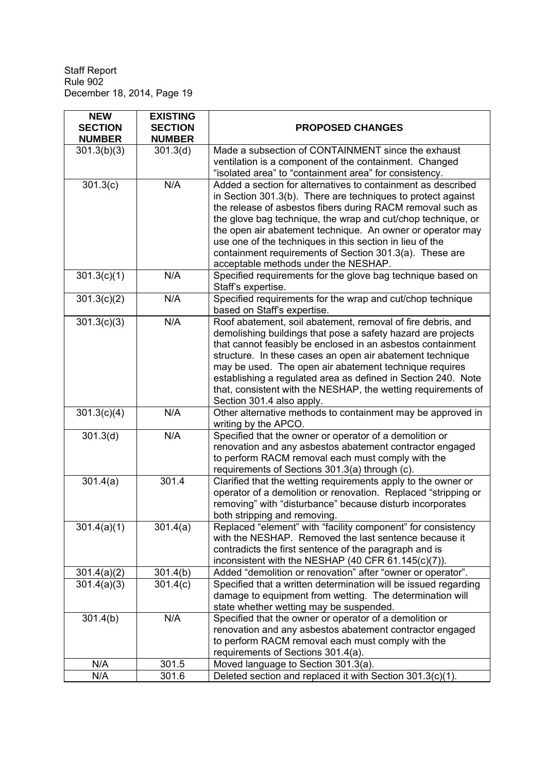| <b>NEW</b><br><b>SECTION</b><br><b>NUMBER</b> | <b>EXISTING</b><br><b>SECTION</b><br><b>NUMBER</b> | <b>PROPOSED CHANGES</b>                                                                                                                                                                                                                                                                                                                                                                                                                                                                 |
|-----------------------------------------------|----------------------------------------------------|-----------------------------------------------------------------------------------------------------------------------------------------------------------------------------------------------------------------------------------------------------------------------------------------------------------------------------------------------------------------------------------------------------------------------------------------------------------------------------------------|
| 301.3(b)(3)                                   | 301.3(d)                                           | Made a subsection of CONTAINMENT since the exhaust<br>ventilation is a component of the containment. Changed<br>"isolated area" to "containment area" for consistency.                                                                                                                                                                                                                                                                                                                  |
| 301.3(c)                                      | N/A                                                | Added a section for alternatives to containment as described<br>in Section 301.3(b). There are techniques to protect against<br>the release of asbestos fibers during RACM removal such as<br>the glove bag technique, the wrap and cut/chop technique, or<br>the open air abatement technique. An owner or operator may<br>use one of the techniques in this section in lieu of the<br>containment requirements of Section 301.3(a). These are<br>acceptable methods under the NESHAP. |
| 301.3(c)(1)                                   | N/A                                                | Specified requirements for the glove bag technique based on<br>Staff's expertise.                                                                                                                                                                                                                                                                                                                                                                                                       |
| 301.3(c)(2)                                   | N/A                                                | Specified requirements for the wrap and cut/chop technique<br>based on Staff's expertise.                                                                                                                                                                                                                                                                                                                                                                                               |
| 301.3(c)(3)                                   | N/A                                                | Roof abatement, soil abatement, removal of fire debris, and<br>demolishing buildings that pose a safety hazard are projects<br>that cannot feasibly be enclosed in an asbestos containment<br>structure. In these cases an open air abatement technique<br>may be used. The open air abatement technique requires<br>establishing a regulated area as defined in Section 240. Note<br>that, consistent with the NESHAP, the wetting requirements of<br>Section 301.4 also apply.        |
| 301.3(c)(4)                                   | N/A                                                | Other alternative methods to containment may be approved in<br>writing by the APCO.                                                                                                                                                                                                                                                                                                                                                                                                     |
| 301.3(d)                                      | N/A                                                | Specified that the owner or operator of a demolition or<br>renovation and any asbestos abatement contractor engaged<br>to perform RACM removal each must comply with the<br>requirements of Sections 301.3(a) through (c).                                                                                                                                                                                                                                                              |
| 301.4(a)                                      | 301.4                                              | Clarified that the wetting requirements apply to the owner or<br>operator of a demolition or renovation. Replaced "stripping or<br>removing" with "disturbance" because disturb incorporates<br>both stripping and removing.                                                                                                                                                                                                                                                            |
| 301.4(a)(1)                                   | 301.4(a)                                           | Replaced "element" with "facility component" for consistency<br>with the NESHAP. Removed the last sentence because it<br>contradicts the first sentence of the paragraph and is<br>inconsistent with the NESHAP $(40$ CFR 61.145 $(c)(7)$ ).                                                                                                                                                                                                                                            |
| 301.4(a)(2)                                   | 301.4(b)                                           | Added "demolition or renovation" after "owner or operator".                                                                                                                                                                                                                                                                                                                                                                                                                             |
| 301.4(a)(3)                                   | 301.4(c)                                           | Specified that a written determination will be issued regarding<br>damage to equipment from wetting. The determination will<br>state whether wetting may be suspended.                                                                                                                                                                                                                                                                                                                  |
| 301.4(b)                                      | N/A                                                | Specified that the owner or operator of a demolition or<br>renovation and any asbestos abatement contractor engaged<br>to perform RACM removal each must comply with the<br>requirements of Sections 301.4(a).                                                                                                                                                                                                                                                                          |
| N/A                                           | 301.5                                              | Moved language to Section 301.3(a).                                                                                                                                                                                                                                                                                                                                                                                                                                                     |
| N/A                                           | 301.6                                              | Deleted section and replaced it with Section 301.3(c)(1).                                                                                                                                                                                                                                                                                                                                                                                                                               |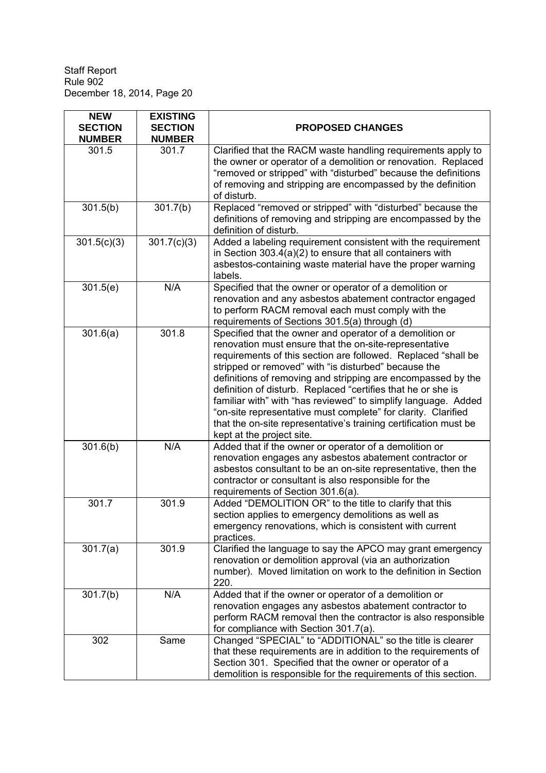$\overline{r}$ 

| <b>NEW</b><br><b>SECTION</b><br><b>NUMBER</b> | <b>EXISTING</b><br><b>SECTION</b><br><b>NUMBER</b> | <b>PROPOSED CHANGES</b>                                                                                                                                                                                                                                                                                                                                                                                                                                                                                                                                                                                         |
|-----------------------------------------------|----------------------------------------------------|-----------------------------------------------------------------------------------------------------------------------------------------------------------------------------------------------------------------------------------------------------------------------------------------------------------------------------------------------------------------------------------------------------------------------------------------------------------------------------------------------------------------------------------------------------------------------------------------------------------------|
| 301.5                                         | 301.7                                              | Clarified that the RACM waste handling requirements apply to<br>the owner or operator of a demolition or renovation. Replaced<br>"removed or stripped" with "disturbed" because the definitions<br>of removing and stripping are encompassed by the definition<br>of disturb.                                                                                                                                                                                                                                                                                                                                   |
| 301.5(b)                                      | 301.7(b)                                           | Replaced "removed or stripped" with "disturbed" because the<br>definitions of removing and stripping are encompassed by the<br>definition of disturb.                                                                                                                                                                                                                                                                                                                                                                                                                                                           |
| 301.5(c)(3)                                   | 301.7(c)(3)                                        | Added a labeling requirement consistent with the requirement<br>in Section 303.4(a)(2) to ensure that all containers with<br>asbestos-containing waste material have the proper warning<br>labels.                                                                                                                                                                                                                                                                                                                                                                                                              |
| 301.5(e)                                      | N/A                                                | Specified that the owner or operator of a demolition or<br>renovation and any asbestos abatement contractor engaged<br>to perform RACM removal each must comply with the<br>requirements of Sections 301.5(a) through (d)                                                                                                                                                                                                                                                                                                                                                                                       |
| 301.6(a)                                      | 301.8                                              | Specified that the owner and operator of a demolition or<br>renovation must ensure that the on-site-representative<br>requirements of this section are followed. Replaced "shall be<br>stripped or removed" with "is disturbed" because the<br>definitions of removing and stripping are encompassed by the<br>definition of disturb. Replaced "certifies that he or she is<br>familiar with" with "has reviewed" to simplify language. Added<br>"on-site representative must complete" for clarity. Clarified<br>that the on-site representative's training certification must be<br>kept at the project site. |
| 301.6(b)                                      | N/A                                                | Added that if the owner or operator of a demolition or<br>renovation engages any asbestos abatement contractor or<br>asbestos consultant to be an on-site representative, then the<br>contractor or consultant is also responsible for the<br>requirements of Section 301.6(a).                                                                                                                                                                                                                                                                                                                                 |
| 301.7                                         | 301.9                                              | Added "DEMOLITION OR" to the title to clarify that this<br>section applies to emergency demolitions as well as<br>emergency renovations, which is consistent with current<br>practices.                                                                                                                                                                                                                                                                                                                                                                                                                         |
| 301.7(a)                                      | 301.9                                              | Clarified the language to say the APCO may grant emergency<br>renovation or demolition approval (via an authorization<br>number). Moved limitation on work to the definition in Section<br>220.                                                                                                                                                                                                                                                                                                                                                                                                                 |
| 301.7(b)                                      | N/A                                                | Added that if the owner or operator of a demolition or<br>renovation engages any asbestos abatement contractor to<br>perform RACM removal then the contractor is also responsible<br>for compliance with Section 301.7(a).                                                                                                                                                                                                                                                                                                                                                                                      |
| 302                                           | Same                                               | Changed "SPECIAL" to "ADDITIONAL" so the title is clearer<br>that these requirements are in addition to the requirements of<br>Section 301. Specified that the owner or operator of a<br>demolition is responsible for the requirements of this section.                                                                                                                                                                                                                                                                                                                                                        |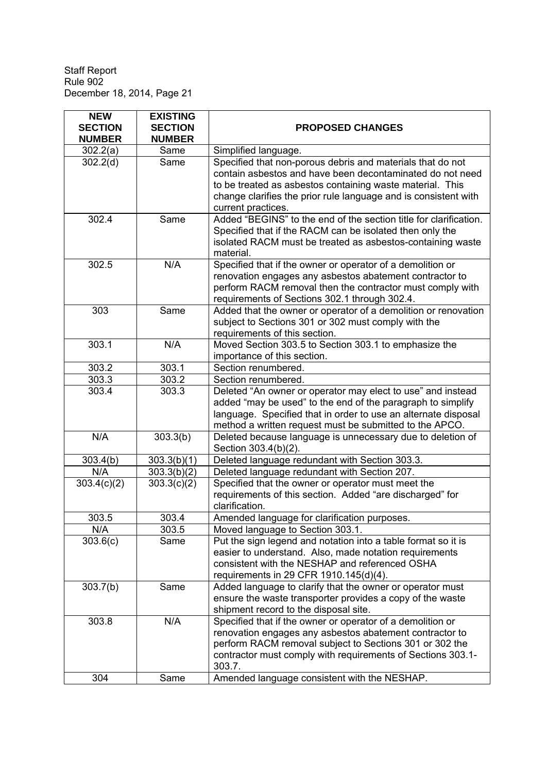| <b>NEW</b><br><b>SECTION</b><br><b>NUMBER</b> | <b>EXISTING</b><br><b>SECTION</b><br><b>NUMBER</b> | <b>PROPOSED CHANGES</b>                                                                                                                                                                                                                                                       |
|-----------------------------------------------|----------------------------------------------------|-------------------------------------------------------------------------------------------------------------------------------------------------------------------------------------------------------------------------------------------------------------------------------|
| 302.2(a)                                      | Same                                               | Simplified language.                                                                                                                                                                                                                                                          |
| 302.2(d)                                      | Same                                               | Specified that non-porous debris and materials that do not<br>contain asbestos and have been decontaminated do not need<br>to be treated as asbestos containing waste material. This<br>change clarifies the prior rule language and is consistent with<br>current practices. |
| 302.4                                         | Same                                               | Added "BEGINS" to the end of the section title for clarification.<br>Specified that if the RACM can be isolated then only the<br>isolated RACM must be treated as asbestos-containing waste<br>material.                                                                      |
| 302.5                                         | N/A                                                | Specified that if the owner or operator of a demolition or<br>renovation engages any asbestos abatement contractor to<br>perform RACM removal then the contractor must comply with<br>requirements of Sections 302.1 through 302.4.                                           |
| 303                                           | Same                                               | Added that the owner or operator of a demolition or renovation<br>subject to Sections 301 or 302 must comply with the<br>requirements of this section.                                                                                                                        |
| 303.1                                         | N/A                                                | Moved Section 303.5 to Section 303.1 to emphasize the<br>importance of this section.                                                                                                                                                                                          |
| 303.2                                         | 303.1                                              | Section renumbered.                                                                                                                                                                                                                                                           |
| 303.3                                         | 303.2                                              | Section renumbered.                                                                                                                                                                                                                                                           |
| $\overline{3}03.4$                            | 303.3                                              | Deleted "An owner or operator may elect to use" and instead<br>added "may be used" to the end of the paragraph to simplify<br>language. Specified that in order to use an alternate disposal<br>method a written request must be submitted to the APCO.                       |
| N/A                                           | 303.3(b)                                           | Deleted because language is unnecessary due to deletion of<br>Section 303.4(b)(2).                                                                                                                                                                                            |
| 303.4(b)                                      | 303.3(b)(1)                                        | Deleted language redundant with Section 303.3.                                                                                                                                                                                                                                |
| N/A                                           | 303.3(b)(2)                                        | Deleted language redundant with Section 207.                                                                                                                                                                                                                                  |
| 303.4(c)(2)                                   | 303.3(c)(2)                                        | Specified that the owner or operator must meet the<br>requirements of this section. Added "are discharged" for<br>clarification.                                                                                                                                              |
| 303.5                                         | 303.4                                              | Amended language for clarification purposes.                                                                                                                                                                                                                                  |
| N/A                                           | 303.5                                              | Moved language to Section 303.1.                                                                                                                                                                                                                                              |
| 303.6(c)                                      | Same                                               | Put the sign legend and notation into a table format so it is<br>easier to understand. Also, made notation requirements<br>consistent with the NESHAP and referenced OSHA<br>requirements in 29 CFR 1910.145(d)(4).                                                           |
| 303.7(b)                                      | Same                                               | Added language to clarify that the owner or operator must<br>ensure the waste transporter provides a copy of the waste<br>shipment record to the disposal site.                                                                                                               |
| 303.8                                         | N/A                                                | Specified that if the owner or operator of a demolition or<br>renovation engages any asbestos abatement contractor to<br>perform RACM removal subject to Sections 301 or 302 the<br>contractor must comply with requirements of Sections 303.1-<br>303.7.                     |
| 304                                           | Same                                               | Amended language consistent with the NESHAP.                                                                                                                                                                                                                                  |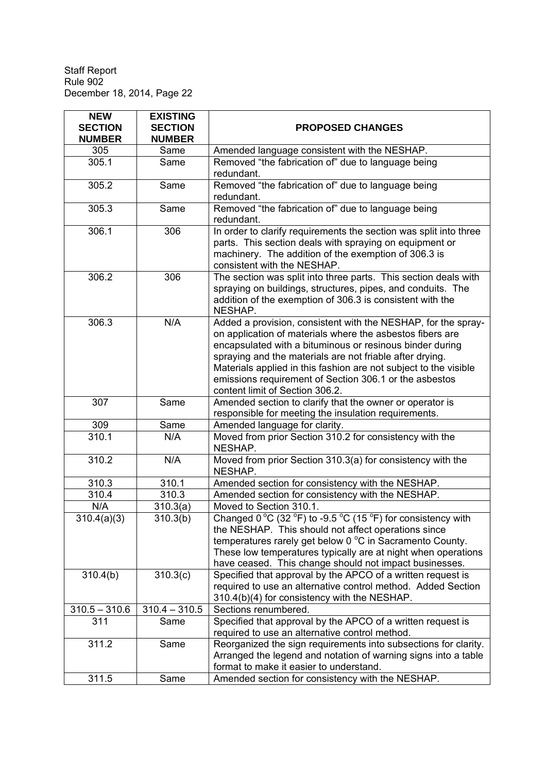| <b>NEW</b><br><b>SECTION</b><br><b>NUMBER</b> | <b>EXISTING</b><br><b>SECTION</b><br><b>NUMBER</b> | <b>PROPOSED CHANGES</b>                                                                                                                                                                                                                                                                                                                                                                                             |
|-----------------------------------------------|----------------------------------------------------|---------------------------------------------------------------------------------------------------------------------------------------------------------------------------------------------------------------------------------------------------------------------------------------------------------------------------------------------------------------------------------------------------------------------|
| 305                                           | Same                                               | Amended language consistent with the NESHAP.                                                                                                                                                                                                                                                                                                                                                                        |
| 305.1                                         | Same                                               | Removed "the fabrication of" due to language being<br>redundant.                                                                                                                                                                                                                                                                                                                                                    |
| 305.2                                         | Same                                               | Removed "the fabrication of" due to language being<br>redundant.                                                                                                                                                                                                                                                                                                                                                    |
| 305.3                                         | Same                                               | Removed "the fabrication of" due to language being<br>redundant.                                                                                                                                                                                                                                                                                                                                                    |
| 306.1                                         | 306                                                | In order to clarify requirements the section was split into three<br>parts. This section deals with spraying on equipment or<br>machinery. The addition of the exemption of 306.3 is<br>consistent with the NESHAP.                                                                                                                                                                                                 |
| 306.2                                         | 306                                                | The section was split into three parts. This section deals with<br>spraying on buildings, structures, pipes, and conduits. The<br>addition of the exemption of 306.3 is consistent with the<br>NESHAP.                                                                                                                                                                                                              |
| 306.3                                         | N/A                                                | Added a provision, consistent with the NESHAP, for the spray-<br>on application of materials where the asbestos fibers are<br>encapsulated with a bituminous or resinous binder during<br>spraying and the materials are not friable after drying.<br>Materials applied in this fashion are not subject to the visible<br>emissions requirement of Section 306.1 or the asbestos<br>content limit of Section 306.2. |
| 307                                           | Same                                               | Amended section to clarify that the owner or operator is<br>responsible for meeting the insulation requirements.                                                                                                                                                                                                                                                                                                    |
| 309                                           | Same                                               | Amended language for clarity.                                                                                                                                                                                                                                                                                                                                                                                       |
| 310.1                                         | N/A                                                | Moved from prior Section 310.2 for consistency with the<br>NESHAP.                                                                                                                                                                                                                                                                                                                                                  |
| 310.2                                         | N/A                                                | Moved from prior Section 310.3(a) for consistency with the<br>NESHAP.                                                                                                                                                                                                                                                                                                                                               |
| 310.3                                         | 310.1                                              | Amended section for consistency with the NESHAP.                                                                                                                                                                                                                                                                                                                                                                    |
| 310.4                                         | 310.3                                              | Amended section for consistency with the NESHAP.                                                                                                                                                                                                                                                                                                                                                                    |
| N/A                                           | 310.3(a)                                           | Moved to Section 310.1.                                                                                                                                                                                                                                                                                                                                                                                             |
| 310.4(a)(3)                                   | 310.3(b)                                           | Changed 0 °C (32 °F) to -9.5 °C (15 °F) for consistency with<br>the NESHAP. This should not affect operations since<br>temperatures rarely get below 0 °C in Sacramento County.<br>These low temperatures typically are at night when operations<br>have ceased. This change should not impact businesses.                                                                                                          |
| 310.4(b)                                      | 310.3(c)                                           | Specified that approval by the APCO of a written request is<br>required to use an alternative control method. Added Section<br>310.4(b)(4) for consistency with the NESHAP.                                                                                                                                                                                                                                         |
| $310.5 - 310.6$                               | $310.4 - 310.5$                                    | Sections renumbered.                                                                                                                                                                                                                                                                                                                                                                                                |
| 311                                           | Same                                               | Specified that approval by the APCO of a written request is<br>required to use an alternative control method.                                                                                                                                                                                                                                                                                                       |
| 311.2                                         | Same                                               | Reorganized the sign requirements into subsections for clarity.<br>Arranged the legend and notation of warning signs into a table<br>format to make it easier to understand.                                                                                                                                                                                                                                        |
| 311.5                                         | Same                                               | Amended section for consistency with the NESHAP.                                                                                                                                                                                                                                                                                                                                                                    |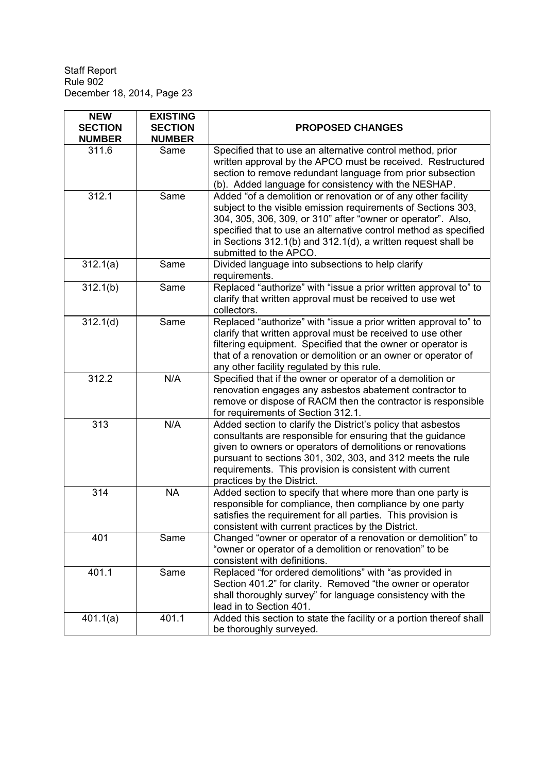| <b>NEW</b><br><b>SECTION</b><br><b>NUMBER</b> | <b>EXISTING</b><br><b>SECTION</b><br><b>NUMBER</b> | <b>PROPOSED CHANGES</b>                                                                                                                                                                                                                                                                                                                                       |
|-----------------------------------------------|----------------------------------------------------|---------------------------------------------------------------------------------------------------------------------------------------------------------------------------------------------------------------------------------------------------------------------------------------------------------------------------------------------------------------|
| 311.6                                         | Same                                               | Specified that to use an alternative control method, prior<br>written approval by the APCO must be received. Restructured<br>section to remove redundant language from prior subsection<br>(b). Added language for consistency with the NESHAP.                                                                                                               |
| 312.1                                         | Same                                               | Added "of a demolition or renovation or of any other facility<br>subject to the visible emission requirements of Sections 303,<br>304, 305, 306, 309, or 310" after "owner or operator". Also,<br>specified that to use an alternative control method as specified<br>in Sections 312.1(b) and 312.1(d), a written request shall be<br>submitted to the APCO. |
| 312.1(a)                                      | Same                                               | Divided language into subsections to help clarify<br>requirements.                                                                                                                                                                                                                                                                                            |
| 312.1(b)                                      | Same                                               | Replaced "authorize" with "issue a prior written approval to" to<br>clarify that written approval must be received to use wet<br>collectors.                                                                                                                                                                                                                  |
| 312.1(d)                                      | Same                                               | Replaced "authorize" with "issue a prior written approval to" to<br>clarify that written approval must be received to use other<br>filtering equipment. Specified that the owner or operator is<br>that of a renovation or demolition or an owner or operator of<br>any other facility regulated by this rule.                                                |
| 312.2                                         | N/A                                                | Specified that if the owner or operator of a demolition or<br>renovation engages any asbestos abatement contractor to<br>remove or dispose of RACM then the contractor is responsible<br>for requirements of Section 312.1.                                                                                                                                   |
| 313                                           | N/A                                                | Added section to clarify the District's policy that asbestos<br>consultants are responsible for ensuring that the guidance<br>given to owners or operators of demolitions or renovations<br>pursuant to sections 301, 302, 303, and 312 meets the rule<br>requirements. This provision is consistent with current<br>practices by the District.               |
| 314                                           | <b>NA</b>                                          | Added section to specify that where more than one party is<br>responsible for compliance, then compliance by one party<br>satisfies the requirement for all parties. This provision is<br>consistent with current practices by the District.                                                                                                                  |
| 401                                           | Same                                               | Changed "owner or operator of a renovation or demolition" to<br>"owner or operator of a demolition or renovation" to be<br>consistent with definitions.                                                                                                                                                                                                       |
| 401.1                                         | Same                                               | Replaced "for ordered demolitions" with "as provided in<br>Section 401.2" for clarity. Removed "the owner or operator<br>shall thoroughly survey" for language consistency with the<br>lead in to Section 401.                                                                                                                                                |
| 401.1(a)                                      | 401.1                                              | Added this section to state the facility or a portion thereof shall<br>be thoroughly surveyed.                                                                                                                                                                                                                                                                |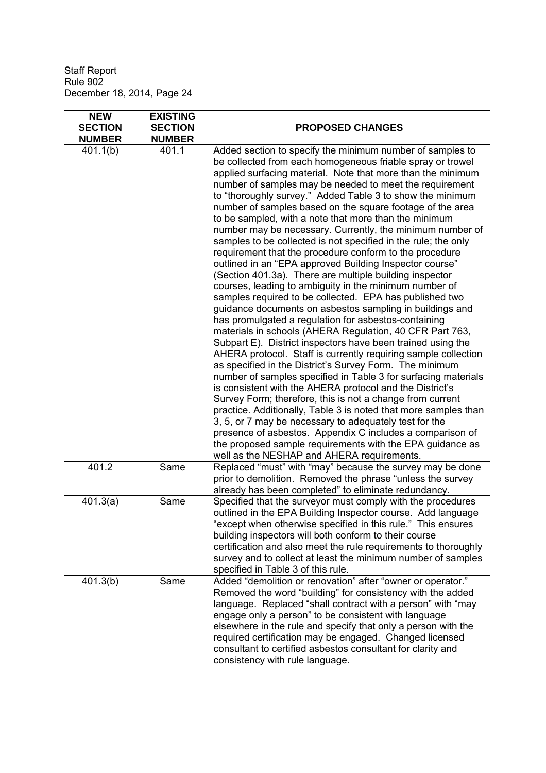| <b>NEW</b>                      | <b>EXISTING</b>        |                                                                                                                                                                                                                                                                                                                                                                                                                                                                                                                                                                                                                                                                                                                                                                                                                                                                                                                                                                                                                                                                                                                                                                                                                                                                                                                                                                                                                                                                                                                                                                                                                                                                                                                                                       |
|---------------------------------|------------------------|-------------------------------------------------------------------------------------------------------------------------------------------------------------------------------------------------------------------------------------------------------------------------------------------------------------------------------------------------------------------------------------------------------------------------------------------------------------------------------------------------------------------------------------------------------------------------------------------------------------------------------------------------------------------------------------------------------------------------------------------------------------------------------------------------------------------------------------------------------------------------------------------------------------------------------------------------------------------------------------------------------------------------------------------------------------------------------------------------------------------------------------------------------------------------------------------------------------------------------------------------------------------------------------------------------------------------------------------------------------------------------------------------------------------------------------------------------------------------------------------------------------------------------------------------------------------------------------------------------------------------------------------------------------------------------------------------------------------------------------------------------|
| <b>SECTION</b><br><b>NUMBER</b> | <b>SECTION</b>         | <b>PROPOSED CHANGES</b>                                                                                                                                                                                                                                                                                                                                                                                                                                                                                                                                                                                                                                                                                                                                                                                                                                                                                                                                                                                                                                                                                                                                                                                                                                                                                                                                                                                                                                                                                                                                                                                                                                                                                                                               |
| 401.1(b)                        | <b>NUMBER</b><br>401.1 | Added section to specify the minimum number of samples to<br>be collected from each homogeneous friable spray or trowel<br>applied surfacing material. Note that more than the minimum<br>number of samples may be needed to meet the requirement<br>to "thoroughly survey." Added Table 3 to show the minimum<br>number of samples based on the square footage of the area<br>to be sampled, with a note that more than the minimum<br>number may be necessary. Currently, the minimum number of<br>samples to be collected is not specified in the rule; the only<br>requirement that the procedure conform to the procedure<br>outlined in an "EPA approved Building Inspector course"<br>(Section 401.3a). There are multiple building inspector<br>courses, leading to ambiguity in the minimum number of<br>samples required to be collected. EPA has published two<br>guidance documents on asbestos sampling in buildings and<br>has promulgated a regulation for asbestos-containing<br>materials in schools (AHERA Regulation, 40 CFR Part 763,<br>Subpart E). District inspectors have been trained using the<br>AHERA protocol. Staff is currently requiring sample collection<br>as specified in the District's Survey Form. The minimum<br>number of samples specified in Table 3 for surfacing materials<br>is consistent with the AHERA protocol and the District's<br>Survey Form; therefore, this is not a change from current<br>practice. Additionally, Table 3 is noted that more samples than<br>3, 5, or 7 may be necessary to adequately test for the<br>presence of asbestos. Appendix C includes a comparison of<br>the proposed sample requirements with the EPA guidance as<br>well as the NESHAP and AHERA requirements. |
| 401.2                           | Same                   | Replaced "must" with "may" because the survey may be done<br>prior to demolition. Removed the phrase "unless the survey<br>already has been completed" to eliminate redundancy.                                                                                                                                                                                                                                                                                                                                                                                                                                                                                                                                                                                                                                                                                                                                                                                                                                                                                                                                                                                                                                                                                                                                                                                                                                                                                                                                                                                                                                                                                                                                                                       |
| 401.3(a)                        | Same                   | Specified that the surveyor must comply with the procedures<br>outlined in the EPA Building Inspector course. Add language<br>"except when otherwise specified in this rule." This ensures<br>building inspectors will both conform to their course<br>certification and also meet the rule requirements to thoroughly<br>survey and to collect at least the minimum number of samples<br>specified in Table 3 of this rule.                                                                                                                                                                                                                                                                                                                                                                                                                                                                                                                                                                                                                                                                                                                                                                                                                                                                                                                                                                                                                                                                                                                                                                                                                                                                                                                          |
| 401.3(b)                        | Same                   | Added "demolition or renovation" after "owner or operator."<br>Removed the word "building" for consistency with the added<br>language. Replaced "shall contract with a person" with "may<br>engage only a person" to be consistent with language<br>elsewhere in the rule and specify that only a person with the<br>required certification may be engaged. Changed licensed<br>consultant to certified asbestos consultant for clarity and<br>consistency with rule language.                                                                                                                                                                                                                                                                                                                                                                                                                                                                                                                                                                                                                                                                                                                                                                                                                                                                                                                                                                                                                                                                                                                                                                                                                                                                        |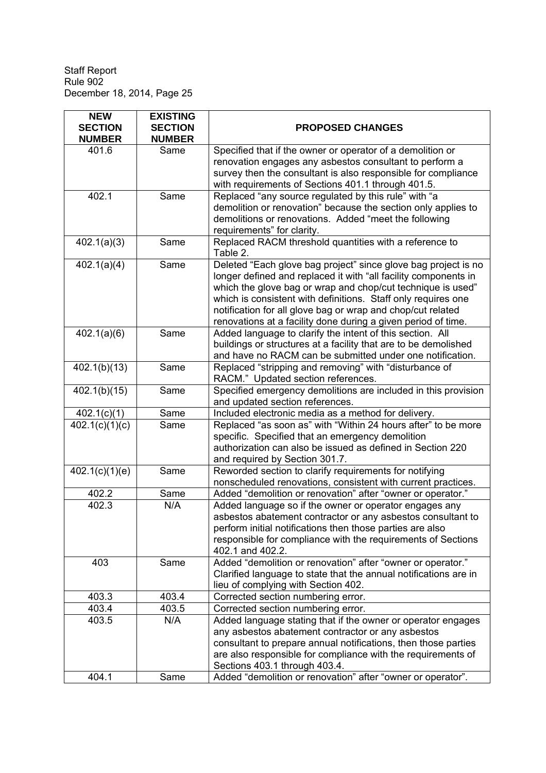| <b>NEW</b><br><b>SECTION</b><br><b>NUMBER</b> | <b>EXISTING</b><br><b>SECTION</b><br><b>NUMBER</b> | <b>PROPOSED CHANGES</b>                                                                                                                                                                                                                                                                                                                                                                           |
|-----------------------------------------------|----------------------------------------------------|---------------------------------------------------------------------------------------------------------------------------------------------------------------------------------------------------------------------------------------------------------------------------------------------------------------------------------------------------------------------------------------------------|
| 401.6                                         | Same                                               | Specified that if the owner or operator of a demolition or<br>renovation engages any asbestos consultant to perform a<br>survey then the consultant is also responsible for compliance<br>with requirements of Sections 401.1 through 401.5.                                                                                                                                                      |
| 402.1                                         | Same                                               | Replaced "any source regulated by this rule" with "a<br>demolition or renovation" because the section only applies to<br>demolitions or renovations. Added "meet the following<br>requirements" for clarity.                                                                                                                                                                                      |
| 402.1(a)(3)                                   | Same                                               | Replaced RACM threshold quantities with a reference to<br>Table 2.                                                                                                                                                                                                                                                                                                                                |
| $\sqrt{402.1(a)(4)}$                          | Same                                               | Deleted "Each glove bag project" since glove bag project is no<br>longer defined and replaced it with "all facility components in<br>which the glove bag or wrap and chop/cut technique is used"<br>which is consistent with definitions. Staff only requires one<br>notification for all glove bag or wrap and chop/cut related<br>renovations at a facility done during a given period of time. |
| 402.1(a)(6)                                   | Same                                               | Added language to clarify the intent of this section. All<br>buildings or structures at a facility that are to be demolished<br>and have no RACM can be submitted under one notification.                                                                                                                                                                                                         |
| 402.1(b)(13)                                  | Same                                               | Replaced "stripping and removing" with "disturbance of<br>RACM." Updated section references.                                                                                                                                                                                                                                                                                                      |
| 402.1(b)(15)                                  | Same                                               | Specified emergency demolitions are included in this provision<br>and updated section references.                                                                                                                                                                                                                                                                                                 |
| 402.1(c)(1)                                   | Same                                               | Included electronic media as a method for delivery.                                                                                                                                                                                                                                                                                                                                               |
| 402.1(c)(1)(c)                                | Same                                               | Replaced "as soon as" with "Within 24 hours after" to be more<br>specific. Specified that an emergency demolition<br>authorization can also be issued as defined in Section 220<br>and required by Section 301.7.                                                                                                                                                                                 |
| 402.1(c)(1)(e)                                | Same                                               | Reworded section to clarify requirements for notifying<br>nonscheduled renovations, consistent with current practices.                                                                                                                                                                                                                                                                            |
| 402.2                                         | Same                                               | Added "demolition or renovation" after "owner or operator."                                                                                                                                                                                                                                                                                                                                       |
| 402.3                                         | N/A                                                | Added language so if the owner or operator engages any<br>asbestos abatement contractor or any asbestos consultant to<br>perform initial notifications then those parties are also<br>responsible for compliance with the requirements of Sections<br>402.1 and 402.2.                                                                                                                            |
| 403                                           | Same                                               | Added "demolition or renovation" after "owner or operator."<br>Clarified language to state that the annual notifications are in<br>lieu of complying with Section 402.                                                                                                                                                                                                                            |
| 403.3                                         | 403.4                                              | Corrected section numbering error.                                                                                                                                                                                                                                                                                                                                                                |
| 403.4                                         | 403.5                                              | Corrected section numbering error.                                                                                                                                                                                                                                                                                                                                                                |
| 403.5                                         | N/A                                                | Added language stating that if the owner or operator engages<br>any asbestos abatement contractor or any asbestos<br>consultant to prepare annual notifications, then those parties<br>are also responsible for compliance with the requirements of<br>Sections 403.1 through 403.4.                                                                                                              |
| 404.1                                         | Same                                               | Added "demolition or renovation" after "owner or operator".                                                                                                                                                                                                                                                                                                                                       |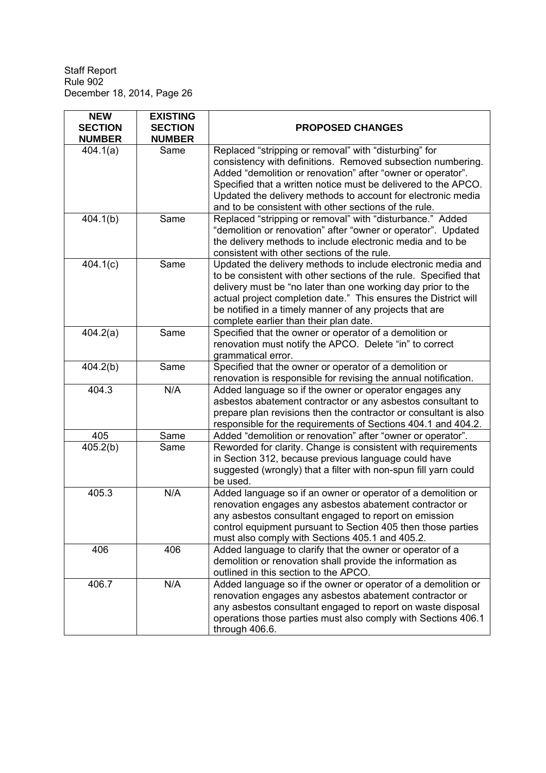| <b>NEW</b><br><b>SECTION</b><br><b>NUMBER</b> | <b>EXISTING</b><br><b>SECTION</b><br><b>NUMBER</b> | <b>PROPOSED CHANGES</b>                                                                                                                                                                                                                                                                                                                                                        |
|-----------------------------------------------|----------------------------------------------------|--------------------------------------------------------------------------------------------------------------------------------------------------------------------------------------------------------------------------------------------------------------------------------------------------------------------------------------------------------------------------------|
| 404.1(a)                                      | Same                                               | Replaced "stripping or removal" with "disturbing" for<br>consistency with definitions. Removed subsection numbering.<br>Added "demolition or renovation" after "owner or operator".<br>Specified that a written notice must be delivered to the APCO.<br>Updated the delivery methods to account for electronic media<br>and to be consistent with other sections of the rule. |
| 404.1(b)                                      | Same                                               | Replaced "stripping or removal" with "disturbance." Added<br>"demolition or renovation" after "owner or operator". Updated<br>the delivery methods to include electronic media and to be<br>consistent with other sections of the rule.                                                                                                                                        |
| 404.1(c)                                      | Same                                               | Updated the delivery methods to include electronic media and<br>to be consistent with other sections of the rule. Specified that<br>delivery must be "no later than one working day prior to the<br>actual project completion date." This ensures the District will<br>be notified in a timely manner of any projects that are<br>complete earlier than their plan date.       |
| 404.2(a)                                      | Same                                               | Specified that the owner or operator of a demolition or<br>renovation must notify the APCO. Delete "in" to correct<br>grammatical error.                                                                                                                                                                                                                                       |
| 404.2(b)                                      | Same                                               | Specified that the owner or operator of a demolition or<br>renovation is responsible for revising the annual notification.                                                                                                                                                                                                                                                     |
| 404.3                                         | N/A                                                | Added language so if the owner or operator engages any<br>asbestos abatement contractor or any asbestos consultant to<br>prepare plan revisions then the contractor or consultant is also<br>responsible for the requirements of Sections 404.1 and 404.2.                                                                                                                     |
| 405                                           | Same                                               | Added "demolition or renovation" after "owner or operator".                                                                                                                                                                                                                                                                                                                    |
| 405.2(b)                                      | Same                                               | Reworded for clarity. Change is consistent with requirements<br>in Section 312, because previous language could have<br>suggested (wrongly) that a filter with non-spun fill yarn could<br>be used.                                                                                                                                                                            |
| 405.3                                         | N/A                                                | Added language so if an owner or operator of a demolition or<br>renovation engages any asbestos abatement contractor or<br>any asbestos consultant engaged to report on emission<br>control equipment pursuant to Section 405 then those parties<br>must also comply with Sections 405.1 and 405.2.                                                                            |
| 406                                           | 406                                                | Added language to clarify that the owner or operator of a<br>demolition or renovation shall provide the information as<br>outlined in this section to the APCO.                                                                                                                                                                                                                |
| 406.7                                         | N/A                                                | Added language so if the owner or operator of a demolition or<br>renovation engages any asbestos abatement contractor or<br>any asbestos consultant engaged to report on waste disposal<br>operations those parties must also comply with Sections 406.1<br>through 406.6.                                                                                                     |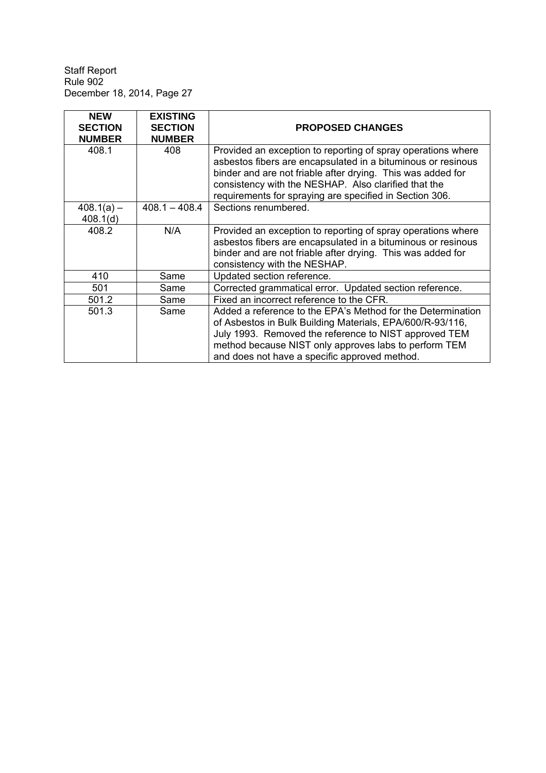| <b>NEW</b>     | <b>EXISTING</b> |                                                                                                                                                                                                                                                                                                                |
|----------------|-----------------|----------------------------------------------------------------------------------------------------------------------------------------------------------------------------------------------------------------------------------------------------------------------------------------------------------------|
| <b>SECTION</b> | <b>SECTION</b>  | <b>PROPOSED CHANGES</b>                                                                                                                                                                                                                                                                                        |
| <b>NUMBER</b>  | <b>NUMBER</b>   |                                                                                                                                                                                                                                                                                                                |
| 408.1          | 408             | Provided an exception to reporting of spray operations where<br>asbestos fibers are encapsulated in a bituminous or resinous<br>binder and are not friable after drying. This was added for<br>consistency with the NESHAP. Also clarified that the<br>requirements for spraying are specified in Section 306. |
| $408.1(a) -$   | $408.1 - 408.4$ | Sections renumbered.                                                                                                                                                                                                                                                                                           |
| 408.1(d)       |                 |                                                                                                                                                                                                                                                                                                                |
| 408.2          | N/A             | Provided an exception to reporting of spray operations where<br>asbestos fibers are encapsulated in a bituminous or resinous<br>binder and are not friable after drying. This was added for<br>consistency with the NESHAP.                                                                                    |
| 410            | Same            | Updated section reference.                                                                                                                                                                                                                                                                                     |
| 501            | Same            | Corrected grammatical error. Updated section reference.                                                                                                                                                                                                                                                        |
| 501.2          | Same            | Fixed an incorrect reference to the CFR.                                                                                                                                                                                                                                                                       |
| 501.3          | Same            | Added a reference to the EPA's Method for the Determination<br>of Asbestos in Bulk Building Materials, EPA/600/R-93/116,<br>July 1993. Removed the reference to NIST approved TEM<br>method because NIST only approves labs to perform TEM<br>and does not have a specific approved method.                    |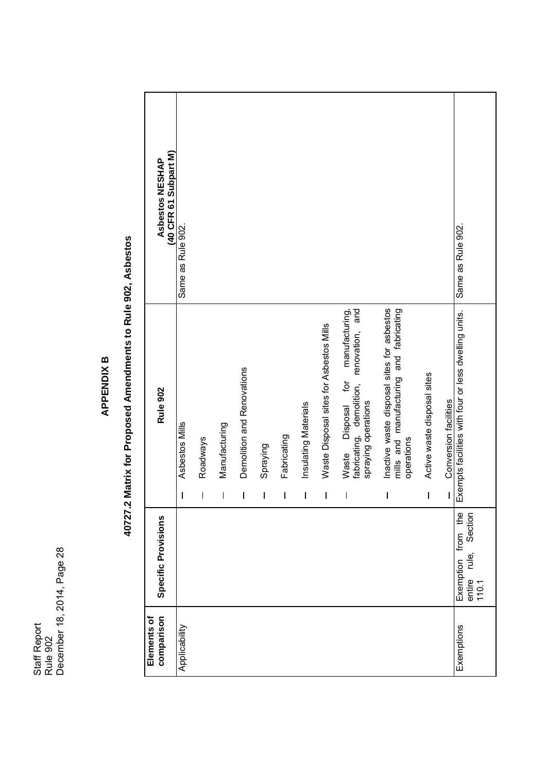Staff Report Staff Report<br>Rule 902<br>December 18, 2014, Page 28 December 18, 2014, Page 28

## **APPENDIX B**

# 40727.2 Matrix for Proposed Amendments to Rule 902, Asbestos **40727.2 Matrix for Proposed Amendments to Rule 902, Asbestos**

| Inactive waste disposal sites for asbestos<br>mills and manufacturing and fabricating<br>Waste Disposal sites for Asbestos Mills<br>fabricating, demolition, renovation,<br>Demolition and Renovations<br>spraying operations<br>Insulating Materials<br>Manufacturing<br>Fabricating<br><b>Roadways</b><br>operations<br>Spraying<br>Waste<br>$\mathbf{l}$<br>$\mathbf{l}$<br>$\mathbf l$<br>I<br>I | Asbestos Mills |
|------------------------------------------------------------------------------------------------------------------------------------------------------------------------------------------------------------------------------------------------------------------------------------------------------------------------------------------------------------------------------------------------------|----------------|
|                                                                                                                                                                                                                                                                                                                                                                                                      |                |
|                                                                                                                                                                                                                                                                                                                                                                                                      |                |
|                                                                                                                                                                                                                                                                                                                                                                                                      |                |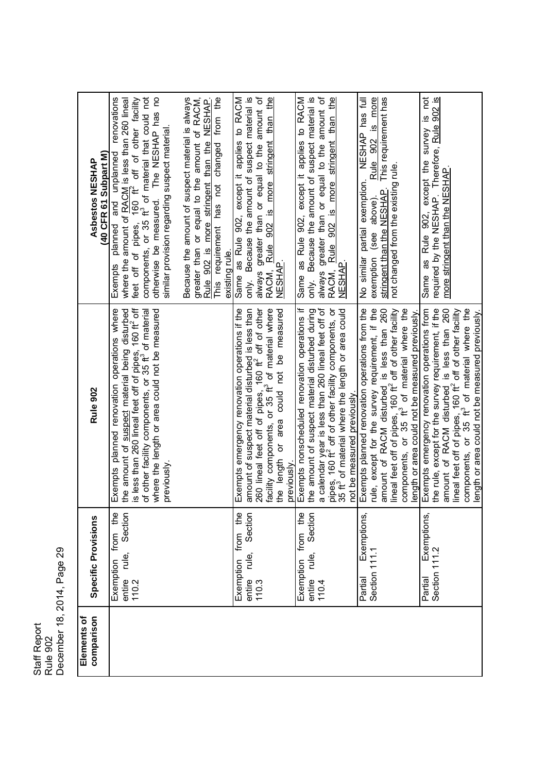Staff Report Staff Report<br>Rule 902<br>December 18, 2014, Page 29 December 18, 2014, Page 29

| comparison<br>Elements of | Specific Provisions                                             | Rule 902                                                                                                                                                                                                                                                                                                                                                                  | (40 CFR 61 Subpart M)<br>Asbestos NESHAP                                                                                                                                                                                                                                                                                                                   |
|---------------------------|-----------------------------------------------------------------|---------------------------------------------------------------------------------------------------------------------------------------------------------------------------------------------------------------------------------------------------------------------------------------------------------------------------------------------------------------------------|------------------------------------------------------------------------------------------------------------------------------------------------------------------------------------------------------------------------------------------------------------------------------------------------------------------------------------------------------------|
|                           | Section<br>the<br>from<br>rule,<br>Exemption<br>entire<br>110.2 | is less than 260 lineal feet off of pipes, 160 ft <sup>2</sup> off<br>of other facility components, or 35 ft <sup>3</sup> of material<br>Exempts planned renovation operations where<br>the amount of suspect material being disturbed<br>where the length or area could not be measured<br>previously.                                                                   | components, or 35 ft <sup>3</sup> of material that could not<br>renovations<br>otherwise be measured. The NESHAP has no<br>where the amount of $\underline{\text{RACM}}$ is less than 260 lineal<br>feet off of pipes, 160 ft <sup>2</sup> off of other facility<br>similar provision regarding suspect material<br>unplanned<br>and<br>planned<br>Exempts |
|                           |                                                                 |                                                                                                                                                                                                                                                                                                                                                                           | Because the amount of suspect material is always<br>from the<br>greater than or equal to the amount of RACM,<br><b>NESHAP</b><br>requirement has not changed<br>Rule 902 is more stringent than the<br>existing rule.<br>This                                                                                                                              |
|                           | the<br>Section<br>from<br>rule,<br>Exemption<br>entire<br>110.3 | amount of suspect material disturbed is less than<br>260 lineal feet off of pipes, 160 ft <sup>2</sup> off of other<br>facility components, or 35 ft <sup>3</sup> of material where<br>Exempts emergency renovation operations if the<br>the length or area could not be measured<br>previously.                                                                          | only. Because the amount of suspect material is<br>always greater than or equal to the amount of<br>Rule 902 is more stringent than the<br>Same as Rule 902, except it applies to RACM<br>NESHAP.<br>RACM,                                                                                                                                                 |
|                           | from the<br>Section<br>rule,<br>Exemption<br>entire<br>110.4    | Exempts nonscheduled renovation operations if<br>a calendar year is less than 260 lineal feet off of<br>s continuity of the facility components, or<br>pipes, 160 ft <sup>2</sup> off of other facility components, or<br>35 ft <sup>3</sup> of material where the length or area could<br>the amount of suspect material disturbed during<br>not be measured previously. | only. Because the amount of suspect material is<br>always greater than or equal to the amount of<br>Same as Rule 902, except it applies to RACM<br>Rule 902 is more stringent than the<br><b>NESHAP</b><br>RACM,                                                                                                                                           |
|                           | Exemptions,<br>Partial Exer<br>Section 111.1                    | rule, except for the survey requirement, if the<br>Exempts planned renovation operations from the<br>amount of RACM disturbed is less than 260<br>lineal feet off of pipes, 160 $ft^2$ off of other facility<br>components, or 35 $ft^3$ of material where the<br>length or area could not be measured previously                                                         | Rule 902 is more<br>This requirement has<br>NESHAP has full<br>not changed from the existing rule.<br>No similar partial exemption.<br>stringent than the NESHAP.<br>exemption (see above).                                                                                                                                                                |
|                           | Exemptions,<br>Partial Exer<br>Section 111.2                    | the rule, except for the survey requirement, if the<br>Exempts emergency renovation operations from<br>amount of RACM disturbed is less than 260<br>lineal feet off of pipes, 160 $ft^2$ off of other facility<br>components, or 35 $ft^3$ of material where the<br>length or area could not be measured previously                                                       | except the survey is not<br>required by the NESHAP. Therefore, Rule 902 is<br>more stringent than the NESHAP.<br>Same as Rule 902,                                                                                                                                                                                                                         |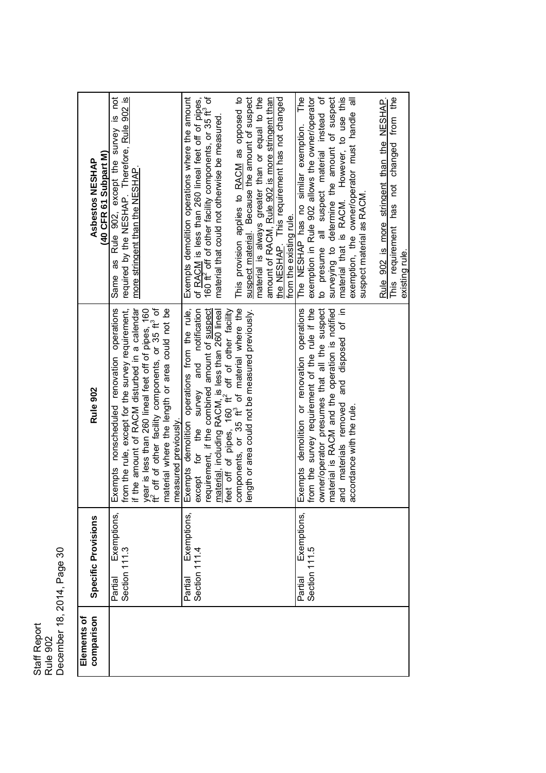Staff Report Staff Report<br>Rule 902<br>December 18, 2014, Page 30 December 18, 2014, Page 30

| comparison<br>Elements of | Specific Provisions                     | Rule 902                                                                                                                                                                                                                                                                                                                                                        | (40 CFR 61 Subpart M)<br>Asbestos NESHAP                                                                                                                                                                                                                                                                                                                                                                                                                                                                                                   |
|---------------------------|-----------------------------------------|-----------------------------------------------------------------------------------------------------------------------------------------------------------------------------------------------------------------------------------------------------------------------------------------------------------------------------------------------------------------|--------------------------------------------------------------------------------------------------------------------------------------------------------------------------------------------------------------------------------------------------------------------------------------------------------------------------------------------------------------------------------------------------------------------------------------------------------------------------------------------------------------------------------------------|
|                           | Exemptions,<br>Section 111.3<br>Partial | year is less than 260 lineal feet off of pipes, 160<br>ft <sup>2</sup> off of other facility components, or 35 ft <sup>3</sup> of<br>Exempts nonscheduled renovation operations<br>material where the length or area could not be<br>if the amount of RACM disturbed in a calendar<br>from the rule, except for the survey requirement,<br>measured previously. | Same as Rule 902, except the survey is not<br>required by the NESHAP. Therefore, Rule 902 is<br>more stringent than the NESHAP.                                                                                                                                                                                                                                                                                                                                                                                                            |
|                           | Exemptions,<br>Section 111.4<br>Partial | material, including RACM, is less than 260 lineal<br>feet off of pipes, 160 $ft^2$ off of other facility<br>components, or 35 $ft^3$ of material where the<br>Exempts demolition operations from the rule,<br>except for the survey and notification<br>requirement, if the combined amount of suspect<br>length or area could not be measured previously.      | Exempts demolition operations where the amount<br>of <b>RACM</b> is less than 260 lineal feet off of pipes,<br>160 ft <sup>2</sup> off of other facility components, or 35 ft <sup>3</sup> of<br>This provision applies to <b>RACM</b> as opposed to<br>material is always greater than or equal to the<br>the NESHAP. This requirement has not changed<br>suspect material. Because the amount of suspect<br>amount of RACM, Rule 902 is more stringent than<br>material that could not otherwise be measured.<br>from the existing rule. |
|                           | Exemptions,<br>Section 111.5<br>Partial | from the survey requirement of the rule if the<br>owner/operator presumes that all the suspect<br>and materials removed and disposed of in<br>Exempts demolition or renovation operations<br>material is RACM and the operation is notified<br>accordance with the rule.                                                                                        | The<br>all suspect material instead of<br>material that is RACM. However, to use this<br>exemption in Rule 902 allows the owner/operator<br>surveying to determine the amount of suspect<br>from the<br>exemption, the owner/operator must handle all<br>Rule 902 is more stringent than the NESHAP.<br>The NESHAP has no similar exemption.<br>changed<br>This requirement has not<br>suspect material as RACM.<br>to presume<br>existing rule.                                                                                           |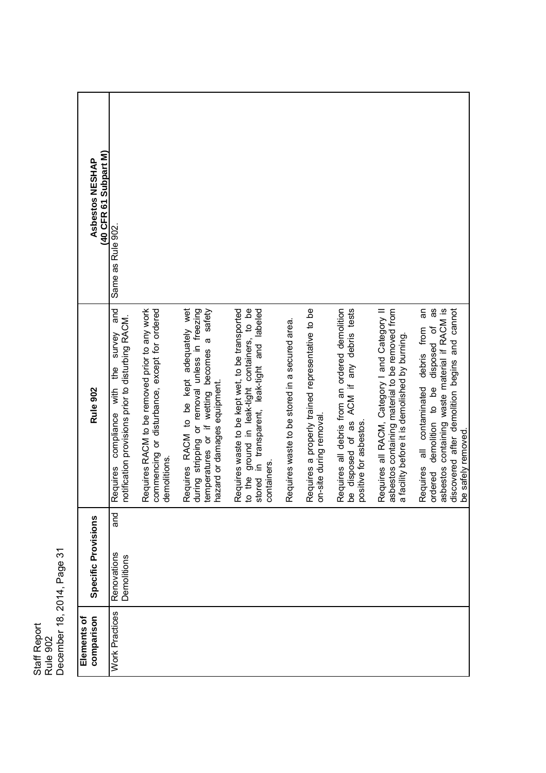| Staff Report | 902       | Page 31<br>2014<br>ecember 1 |
|--------------|-----------|------------------------------|
|              | i<br>Jule |                              |

| (40 CFR 61 Subpart M)<br>Asbestos NESHAP | Same as Rule 902.                                                                                        |                                                                                                                |                                                                                                                                                                             |                                                                                                                                                                  |                                                |                                                                             |                                                                                                                       |                                                                                                                                                    |                                                                                                                                                                                                                       |
|------------------------------------------|----------------------------------------------------------------------------------------------------------|----------------------------------------------------------------------------------------------------------------|-----------------------------------------------------------------------------------------------------------------------------------------------------------------------------|------------------------------------------------------------------------------------------------------------------------------------------------------------------|------------------------------------------------|-----------------------------------------------------------------------------|-----------------------------------------------------------------------------------------------------------------------|----------------------------------------------------------------------------------------------------------------------------------------------------|-----------------------------------------------------------------------------------------------------------------------------------------------------------------------------------------------------------------------|
| Rule 902                                 | and<br>notification provisions prior to disturbing RACM.<br>survey<br>the<br>compliance with<br>Requires | Requires RACM to be removed prior to any work<br>commencing or disturbance, except for ordered<br>demolitions. | a safety<br>Requires RACM to be kept adequately wet<br>during stripping or removal unless in freezing<br>temperatures or if wetting becomes<br>hazard or damages equipment. | to the ground in leak-tight containers, to be<br>Requires waste to be kept wet, to be transported<br>stored in transparent, leak-tight and labeled<br>containers | Requires waste to be stored in a secured area. | Requires a properly trained representative to be<br>on-site during removal. | Requires all debris from an ordered demolition<br>be disposed of as ACM if any debris tests<br>positive for asbestos. | asbestos containing material to be removed from<br>Requires all RACM, Category I and Category II<br>a facility before it is demolished by burning. | 8<br>Θ<br>asbestos containing waste material if RACM is<br>discovered after demolition begins and cannot<br>disposed of<br>Requires all contaminated debris from<br>demolition to be<br>be safely removed.<br>ordered |
| Specific Provisions                      | and<br>Renovations<br>Demolitions                                                                        |                                                                                                                |                                                                                                                                                                             |                                                                                                                                                                  |                                                |                                                                             |                                                                                                                       |                                                                                                                                                    |                                                                                                                                                                                                                       |
| Elements of<br>comparison                | Work Practices                                                                                           |                                                                                                                |                                                                                                                                                                             |                                                                                                                                                                  |                                                |                                                                             |                                                                                                                       |                                                                                                                                                    |                                                                                                                                                                                                                       |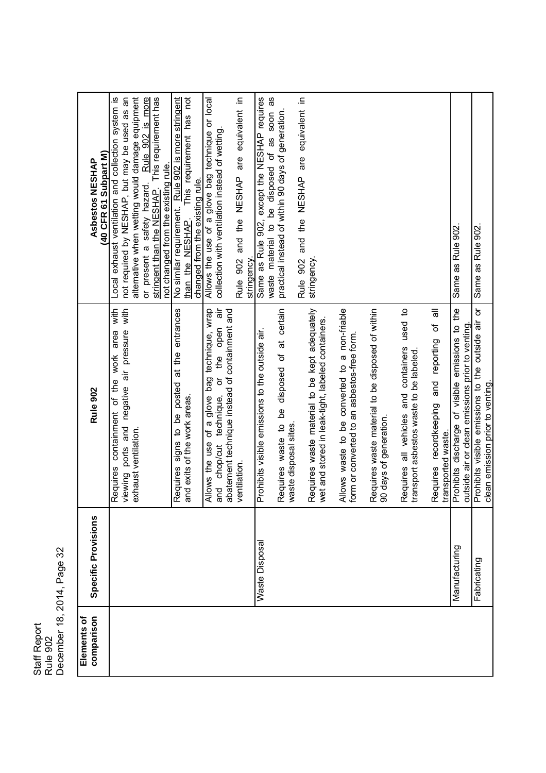Staff Report Staff Report<br>Rule 902<br>December 18, 2014, Page 32 December 18, 2014, Page 32

| comparison<br>Elements of | Specific Provisions | Rule 902                                                                                                                    | (40 CFR 61 Subpart M)<br>Asbestos NESHAP                                                                                                                                                                  |
|---------------------------|---------------------|-----------------------------------------------------------------------------------------------------------------------------|-----------------------------------------------------------------------------------------------------------------------------------------------------------------------------------------------------------|
|                           |                     | with<br>with<br>viewing ports and negative air pressure<br>area<br>Requires containment of the work<br>exhaust ventilation. | Local exhaust ventilation and collection system is<br>alternative when wetting would damage equipment<br>Rule 902 is more<br>not required by NESHAP, but may be used as an<br>or present a safety hazard. |
|                           |                     |                                                                                                                             | stringent than the NESHAP. This requirement has<br>not changed from the existing rule.                                                                                                                    |
|                           |                     | at the entrances<br>posted<br>and exits of the work areas.<br>signs to be<br>Requires                                       | Rule 902 is more stringent<br>This requirement has not<br>No similar requirement.<br>NESHAP.<br>than the                                                                                                  |
|                           |                     |                                                                                                                             | changed from the existing rule.                                                                                                                                                                           |
|                           |                     | and chop/cut technique, or the open air<br>Allows the use of a glove bag technique, wrap                                    | Allows the use of a glove bag technique or local<br>collection with ventilation instead of wetting                                                                                                        |
|                           |                     | abatement technique instead of containment and<br>entilation.                                                               | 크.<br>equivalent<br>are<br><b>APHOHAP</b><br>and the<br>Rule 902                                                                                                                                          |
|                           |                     |                                                                                                                             | stringency.                                                                                                                                                                                               |
|                           | Waste Disposal      | Prohibits visible emissions to the outside air.                                                                             | requires<br>as<br>waste material to be disposed of as soon<br>Same as Rule 902, except the NESHAP                                                                                                         |
|                           |                     | Requires waste to be disposed of at certain<br>waste disposal sites.                                                        | practical instead of within 90 days of generation.                                                                                                                                                        |
|                           |                     |                                                                                                                             | and the NESHAP are equivalent in<br>Rule 902                                                                                                                                                              |
|                           |                     | Requires waste material to be kept adequately<br>wet and stored in leak-tight, labeled containers.                          | stringency                                                                                                                                                                                                |
|                           |                     | Allows waste to be converted to a non-friable<br>form or converted to an asbestos-free form.                                |                                                                                                                                                                                                           |
|                           |                     | Requires waste material to be disposed of within<br>90 days of generation.                                                  |                                                                                                                                                                                                           |
|                           |                     | used to<br>Requires all vehicles and containers<br>ransport asbestos waste to be labeled.                                   |                                                                                                                                                                                                           |
|                           |                     | $\overline{5}$<br>đ<br>recordkeeping and reporting<br>ransported waste.<br>Requires                                         |                                                                                                                                                                                                           |
|                           | Manufacturing       | the<br>butside air or clean emissions prior to venting.<br>emissions to<br>Prohibits discharge of visible                   | Same as Rule 902                                                                                                                                                                                          |
|                           | Fabricating         | Prohibits visible emissions to the outside air or<br>clean emission prior to venting                                        | Same as Rule 902.                                                                                                                                                                                         |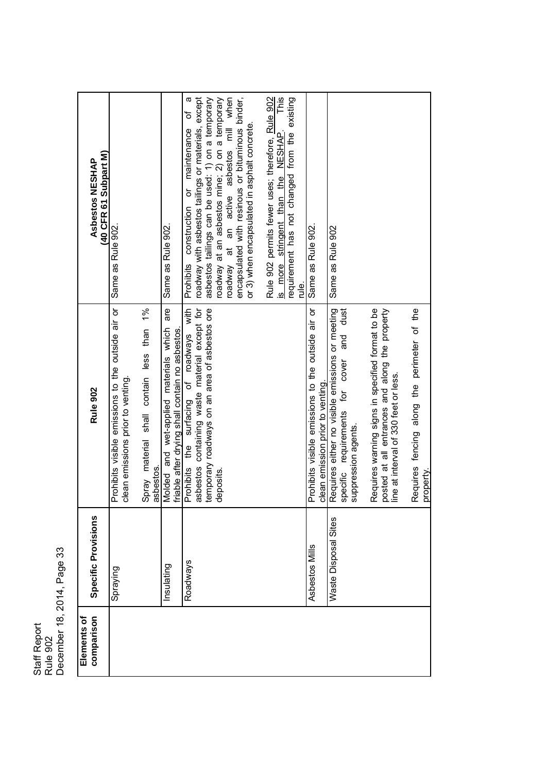Rule 902<br>December 18, 2014, Page 33 December 18, 2014, Page 33 Staff Report Staff Report

This requirement has not changed from the existing roadway with asbestos tailings or materials, except asbestos tailings can be used: 1) on a temporary roadway at an active asbestos mill when Rule 902 permits fewer uses; therefore, Rule 902 Prohibits the surfacing of roadways with Prohibits construction or maintenance of a<br>asbestos containing waste material except for roadway with asbestos tailings or materials, except<br>temporary roadways on an area of asbesto roadway at an asbestos mine; 2) on a temporary roadway at an active asbestos mill when encapsulated with resinous or bituminous binder, encapsulated with resinous or bituminous binder, Rule 902 permits fewer uses; therefore, Rule 902 is more stringent than the NESHAP. This requirement has not changed from the existing  $\sigma$ or 3) when encapsulated in asphalt concrete. Prohibits construction or maintenance or 3) when encapsulated in asphalt concrete. is more stringent than the NESHAP. **Asbestos NESHAP<br>(40 CFR 61 Subpart M) (40 CFR 61 Subpart M) comparison Specific Provisions Rule 902 Asbestos NESHAP** Same as Rule 902. Same as Rule 902. rule.<br>Same as Rule 902. Prohibits visible emissions to the outside air or Same as Rule 902.<br>clean emissions prior to venting.<br>Spray material shall contain less than 1% asbestos. Molded and wet-applied materials which are Same as Rule 902.<br>friable after drying shall contain no asbestos. Same as Rule 902. Same as Rule 902 Same as Rule 902are temporary roadways on an area of asbestos ore Prohibits visible emissions to the outside air or Prohibits the surfacing of roadways with Prohibits visible emissions to the outside air or Requires either no visible emissions or meeting asbestos containing waste material except for Requires warning signs in specified format to be of the Spray material shall contain less than 1% specific requirements for cover and dust posted at all entrances and along the property Spraying Prohibits visible emissions to the outside air or clean emissions prior to venting.<br>Spray material shall contain less than 1%<br>sebestos Insulating Molded and wet-applied materials which are Roadways Prohibits the surfacing of roadways with asbestos containing waste material except for temporary roadways on an area of asbestos ore Asbestos Mills Prohibits visible emissions to the outside air or Waste Disposal Sites Requires either no visible emissions or meeting specific requirements for cover and dust Requires warning signs in specified format to be posted at all entrances and along the property Requires fencing along the perimeter of the Molded and wet-applied materials which friable after drying shall contain no asbestos. Requires fencing along the perimeter ine at interval of 330 feet or less. line at interval of 330 feet or less. clean emissions prior to venting. clean emission prior to venting clean emission prior to venting. **Rule 902** suppression agents. suppression agents. asbestos. deposits. property. Waste Disposal Sites Specific Provisions **Asbestos Mills Roadways** Insulating **Spraying Elements of**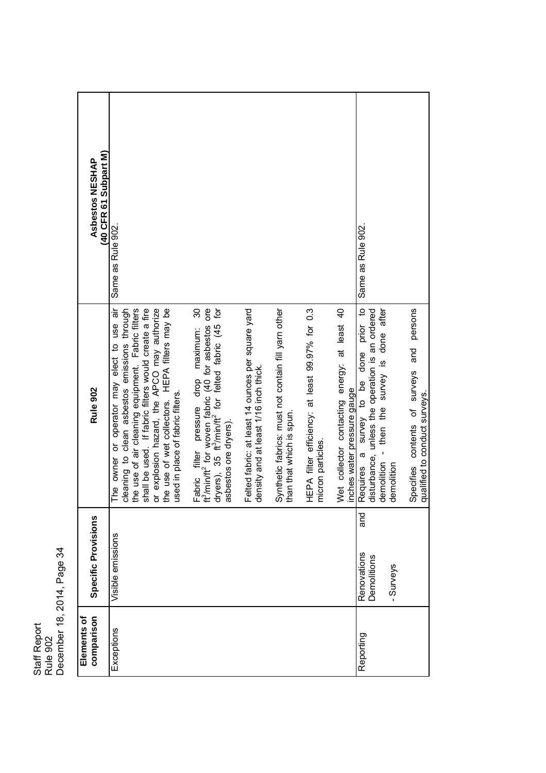| (40 CFR 61 Subpart M)<br>Asbestos NESHAP | Same as Rule 902.                                                                                                                                                                                                                                                                                                                               |                                                                                                                                                                                                                                       |                                                                                            |                                                                                |                                                                      |                                                                             | Same as Rule 902.                                                                                                                            |                |                                                                                     |
|------------------------------------------|-------------------------------------------------------------------------------------------------------------------------------------------------------------------------------------------------------------------------------------------------------------------------------------------------------------------------------------------------|---------------------------------------------------------------------------------------------------------------------------------------------------------------------------------------------------------------------------------------|--------------------------------------------------------------------------------------------|--------------------------------------------------------------------------------|----------------------------------------------------------------------|-----------------------------------------------------------------------------|----------------------------------------------------------------------------------------------------------------------------------------------|----------------|-------------------------------------------------------------------------------------|
| Rule 902                                 | āir<br>cleaning to clean asbestos emissions through<br>the use of air cleaning equipment. Fabric filters<br>shall be used. If fabric filters would create a fire<br>or explosion hazard, the APCO may authorize<br>the use of wet collectors. HEPA filters may be<br>The owner or operator may elect to use<br>used in place of fabric filters. | dryers), 35 ft <sup>3</sup> /min/ft <sup>2</sup> for felted fabric (45 for<br>ft <sup>3</sup> /min/ft <sup>2</sup> for woven fabric (40 for asbestos ore<br>30<br>maximum:<br>pressure drop<br>asbestos ore dryers).<br>Fabric filter | Felted fabric: at least 14 ounces per square yard<br>density and at least 1/16 inch thick. | Synthetic fabrics: must not contain fill yam other<br>than that which is spun. | HEPA filter efficiency: at least 99.97% for 0.3<br>micron particles. | Wet collector contacting energy: at least 40<br>inches water pressure gauge | Requires a survey to be done prior to<br>survey is done after<br>disturbance, unless the operation is an ordered<br>- then the<br>demolition | demolition     | persons<br>and<br>contents of surveys<br>qualified to conduct surveys.<br>Specifies |
| Specific Provisions                      | Visible emissions                                                                                                                                                                                                                                                                                                                               |                                                                                                                                                                                                                                       |                                                                                            |                                                                                |                                                                      |                                                                             | end<br>Renovations<br>Demolitions                                                                                                            | <b>Surveys</b> |                                                                                     |
| comparison<br>Elements of                | Exceptions                                                                                                                                                                                                                                                                                                                                      |                                                                                                                                                                                                                                       |                                                                                            |                                                                                |                                                                      |                                                                             | Reporting                                                                                                                                    |                |                                                                                     |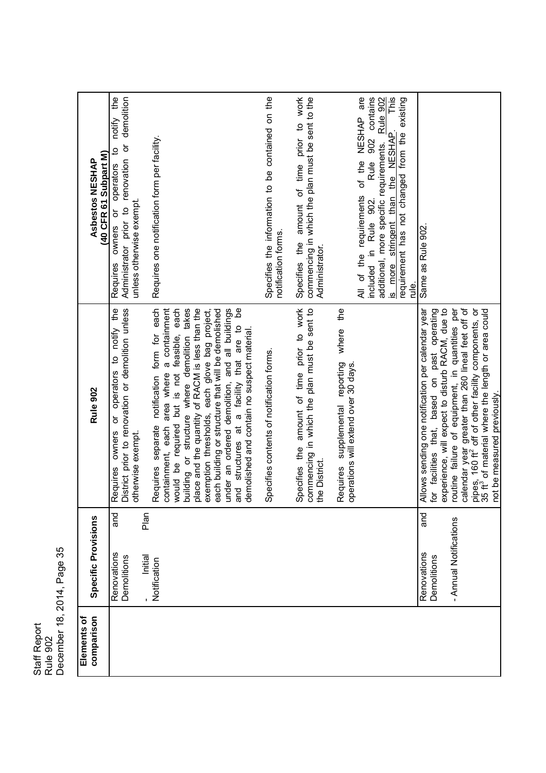| f Report | ട്ട     | Page 35<br>2014<br>cember 1 |
|----------|---------|-----------------------------|
| itaf,    | ι<br>ΠΘ |                             |

| comparison<br>Elements of | Specific Provisions                                         | Rule 902                                                                                                                                                                                                                                                                                                                                                                                                                                                                                                | (40 CFR 61 Subpart M)<br>Asbestos NESHAP                                                                                                                                                                                                                                       |
|---------------------------|-------------------------------------------------------------|---------------------------------------------------------------------------------------------------------------------------------------------------------------------------------------------------------------------------------------------------------------------------------------------------------------------------------------------------------------------------------------------------------------------------------------------------------------------------------------------------------|--------------------------------------------------------------------------------------------------------------------------------------------------------------------------------------------------------------------------------------------------------------------------------|
|                           | Plan<br>nd<br>and<br>Renovations<br>Initial<br>Demolitions  | District prior to renovation or demolition unless<br>Requires owners or operators to notify the<br>otherwise exempt.                                                                                                                                                                                                                                                                                                                                                                                    | demolition<br>notify the<br>Administrator prior to renovation or<br>$\overline{5}$<br>operators<br>unless otherwise exempt.<br>Requires owners or                                                                                                                              |
|                           | Notification                                                | ed.<br>containment, each area where a containment<br>building or structure where demolition takes<br>place and the quantity of RACM is less than the<br>under an ordered demolition, and all buildings<br>Requires separate notification form for each<br>would be required but is not feasible, each<br>exemption thresholds, each glove bag project,<br>each building or structure that will be demolished<br>and structures at a facility that are to<br>demolished and contain no suspect material. | Requires one notification form per facility.                                                                                                                                                                                                                                   |
|                           |                                                             | Specifies contents of notification forms.                                                                                                                                                                                                                                                                                                                                                                                                                                                               | Specifies the information to be contained on the<br>notification forms.                                                                                                                                                                                                        |
|                           |                                                             | amount of time prior to work<br>commencing in which the plan must be sent to<br>Specifies the<br>the District                                                                                                                                                                                                                                                                                                                                                                                           | Specifies the amount of time prior to work<br>commencing in which the plan must be sent to the<br>Administrator.                                                                                                                                                               |
|                           |                                                             | where the<br>Requires supplemental reporting<br>operations will extend over 30 days.                                                                                                                                                                                                                                                                                                                                                                                                                    | This<br>are<br>contains<br>Rule 902<br>requirement has not changed from the existing<br><b>NESHAP</b><br>is more stringent than the NESHAP.<br>902<br>additional, more specific requirements.<br>of the<br>Rule<br>All of the requirements<br>included in Rule 902.<br>ie<br>E |
|                           | and<br>- Annual Notifications<br>Renovations<br>Demolitions | calendar year greater than 260 lineal feet off of<br>experience, will expect to disturb RACM, due to<br>routine failure of equipment, in quantities per<br>pipes, 160 ft <sup>2</sup> off of other facility components, or<br>35 ft <sup>3</sup> of material where the length or area could<br>for facilities that, based on past operating<br>Allows sending one notification per calendar year<br>not be measured previously                                                                          | Same as Rule 902.                                                                                                                                                                                                                                                              |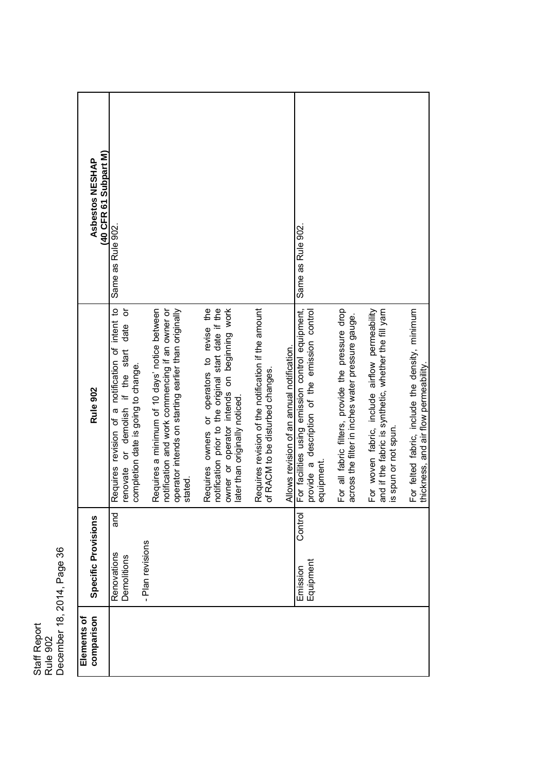| Staff Report<br>lle 902 | Page 36<br>2014<br>ecember 18 |
|-------------------------|-------------------------------|
|                         |                               |

| (40 CFR 61 Subpart M)<br>Asbestos NESHAP | Same as Rule 902.                                                                                                                       |                                                                                                                                                                    |                                                                                                                                                                                    |                                                                                         |                                            | Same as Rule 902.                                                                                               |                                                                                                        |                                                                                                                                |                                                                                         |
|------------------------------------------|-----------------------------------------------------------------------------------------------------------------------------------------|--------------------------------------------------------------------------------------------------------------------------------------------------------------------|------------------------------------------------------------------------------------------------------------------------------------------------------------------------------------|-----------------------------------------------------------------------------------------|--------------------------------------------|-----------------------------------------------------------------------------------------------------------------|--------------------------------------------------------------------------------------------------------|--------------------------------------------------------------------------------------------------------------------------------|-----------------------------------------------------------------------------------------|
| Rule 902                                 | Requires revision of a notification of intent to<br>date or<br>renovate or demolish if the start<br>completion date is going to change. | notification and work commencing if an owner or<br>operator intends on starting earlier than originally<br>Requires a minimum of 10 days' notice between<br>stated | notification prior to the original start date if the<br>Requires owners or operators to revise the<br>owner or operator intends on beginning work<br>ater than originally noticed. | Requires revision of the notification if the amount<br>of RACM to be disturbed changes. | Allows revision of an annual notification. | For facilities using emission control equipment,<br>provide a description of the emission control<br>equipment. | For all fabric filters, provide the pressure drop<br>across the filter in inches water pressure gauge. | For woven fabric, include airflow permeability<br>and if the fabric is synthetic, whether the fill yam<br>is spun or not spun. | For felted fabric, include the density, minimum<br>thickness, and air flow permeability |
| Specific Provisions                      | and<br>- Plan revisions<br>Renovations<br>Demolitions                                                                                   |                                                                                                                                                                    |                                                                                                                                                                                    |                                                                                         |                                            | Control<br>Equipment<br>Emission                                                                                |                                                                                                        |                                                                                                                                |                                                                                         |
| Elements of<br>comparison                |                                                                                                                                         |                                                                                                                                                                    |                                                                                                                                                                                    |                                                                                         |                                            |                                                                                                                 |                                                                                                        |                                                                                                                                |                                                                                         |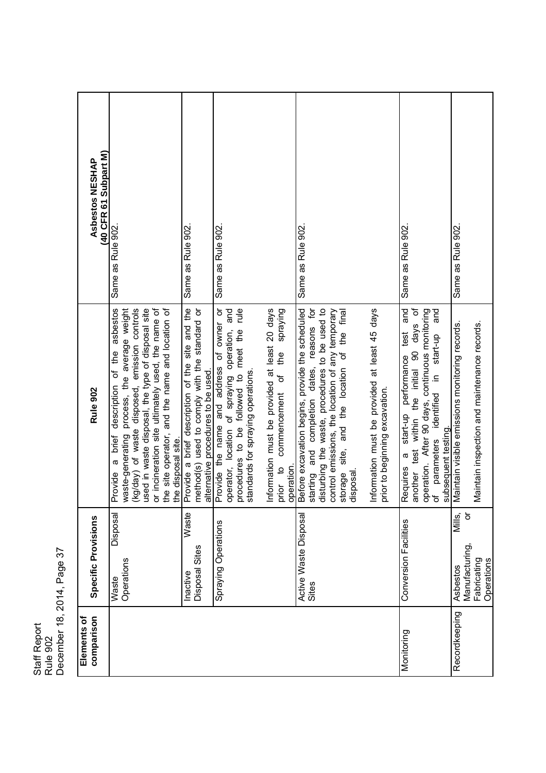| Staff Report<br>Rule 902 | December 18, 2014, Page 37 |
|--------------------------|----------------------------|
|                          |                            |

|                                        | (40 CFR 61 Subpart M)<br>Asbestos NESHAP | Same as Rule 902<br>Same as Rule 902<br>Same as Rule 902<br>Same as Rule 902                                                                                                                                                                                                                                                                                                                                                                                                                                                                                                                                                                                                                                                                                                                                                                                                                                                                                                                                                                                                                                                                                                             | Same as Rule 902.                                                                                                                                                                                                                                 | Same as Rule 902.                                                                              |
|----------------------------------------|------------------------------------------|------------------------------------------------------------------------------------------------------------------------------------------------------------------------------------------------------------------------------------------------------------------------------------------------------------------------------------------------------------------------------------------------------------------------------------------------------------------------------------------------------------------------------------------------------------------------------------------------------------------------------------------------------------------------------------------------------------------------------------------------------------------------------------------------------------------------------------------------------------------------------------------------------------------------------------------------------------------------------------------------------------------------------------------------------------------------------------------------------------------------------------------------------------------------------------------|---------------------------------------------------------------------------------------------------------------------------------------------------------------------------------------------------------------------------------------------------|------------------------------------------------------------------------------------------------|
|                                        | Rule 902                                 | or incineration site ultimately used, the name of<br>Information must be provided at least 20 days<br>(kg/day) of waste disposed, emission controls<br>used in waste disposal, the type of disposal site<br>the site operator, and the name and location of<br>Provide a brief description of the site and the<br>plp<br>Information must be provided at least 45 days<br>asbestos<br>method(s) used to comply with the standard or<br>Provide the name and address of owner or<br>Before excavation begins, provide the scheduled<br>reasons for<br>disturbing the waste, procedures to be used to<br>final<br>process, the average weight<br>and<br>Spraying<br>control emissions, the location of any temporary<br>operator, location of spraying operation,<br>procedures to be followed to meet the<br>the<br>$\sigma$<br>description of the<br>the<br>and the location<br>dates,<br>commencement of<br>alternative procedures to be used.<br>standards for spraying operations<br>prior to beginning excavation.<br>and completion<br>waste-generating<br>brief<br>the disposal site.<br>site,<br>$\sigma$<br>prior to<br>operation.<br>starting<br>Provide<br>disposal<br>storage | and<br>đ<br>operation. After 90 days, continuous monitoring<br>and<br>days<br>test<br>start-up<br>within the initial 90<br>start-up performance<br>identified in<br>subsequent testing<br>parameters<br>another test<br>$\sigma$<br>Requires<br>Ⴆ | Maintain inspection and maintenance records.<br>Maintain visible emissions monitoring records. |
|                                        | Specific Provisions                      | Waste<br>Disposal<br>Active Waste Disposal<br>Sites<br>Spraying Operations<br>Sites<br>Operations<br>Disposal<br>Inactive<br>Waste                                                                                                                                                                                                                                                                                                                                                                                                                                                                                                                                                                                                                                                                                                                                                                                                                                                                                                                                                                                                                                                       | Conversion Facilities                                                                                                                                                                                                                             | Mills,<br>১<br>Manufacturing<br>Fabricating<br>Operations<br>Asbestos                          |
| December 18, 2014, Page 37<br>Rule 902 | comparison<br>৳<br>Elements              |                                                                                                                                                                                                                                                                                                                                                                                                                                                                                                                                                                                                                                                                                                                                                                                                                                                                                                                                                                                                                                                                                                                                                                                          | Monitoring                                                                                                                                                                                                                                        | Recordkeeping                                                                                  |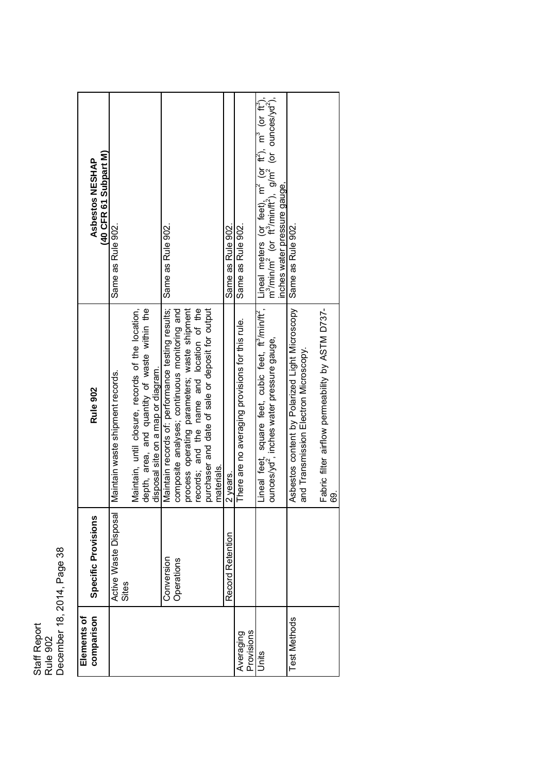| <b>Staff Report</b> |         | Page 38<br>2014<br>ecember 1 |
|---------------------|---------|------------------------------|
|                     | ଧାe 902 |                              |

| Asbestos NESHAP           | (40 CFR 61 Subpart M)<br>Same as Rule 902. |                                                                                                                                          | Same as Rule 902                                                                                                                                   |                                                                                               |            | Same as Rule 902 | Same as Rule 902                                 | Lineal meters (or feet), $m^2$ (or ft <sup>2</sup> ), $m^3$ (or ft <sup>3</sup> ), $m^3$ (m ft <sup>3</sup> ), $m^3$ (m ft <sup>3</sup> ), $g/m^2$ (or ounces/yd <sup>2</sup> ), | inches water pressure gauge,             | Same as Rule 902                                                                        |                                                         |
|---------------------------|--------------------------------------------|------------------------------------------------------------------------------------------------------------------------------------------|----------------------------------------------------------------------------------------------------------------------------------------------------|-----------------------------------------------------------------------------------------------|------------|------------------|--------------------------------------------------|----------------------------------------------------------------------------------------------------------------------------------------------------------------------------------|------------------------------------------|-----------------------------------------------------------------------------------------|---------------------------------------------------------|
| Rule 902                  | Maintain waste shipment records.           | Maintain, until closure, records of the location,<br>depth, area, and quantity of waste within the<br>disposal site on a map or diagram. | Maintain records of: performance testing results;<br>process operating parameters; waste shipment<br>composite analyses; continuous monitoring and | records; and the name and location of the<br>purchaser and date of sale or deposit for output | materials. | 2 years.         | There are no averaging provisions for this rule. | Lineal feet, square feet, cubic feet, ft <sup>3</sup> /min/ft <sup>2</sup> ,                                                                                                     | ounces/yd', inches water pressure gauge, | Asbestos content by Polarized Light Microscopy<br>and Transmission Electron Microscopy. | Fabric filter airflow permeability by ASTM D737-<br>ලි. |
| Specific Provisions       | Active Waste Disposal<br><b>Sites</b>      |                                                                                                                                          | Conversion<br>Operations                                                                                                                           |                                                                                               |            | Record Retention |                                                  |                                                                                                                                                                                  |                                          |                                                                                         |                                                         |
| Elements of<br>comparison |                                            |                                                                                                                                          |                                                                                                                                                    |                                                                                               |            |                  | Provisions<br>Averaging                          | Units                                                                                                                                                                            |                                          | <b>Test Methods</b>                                                                     |                                                         |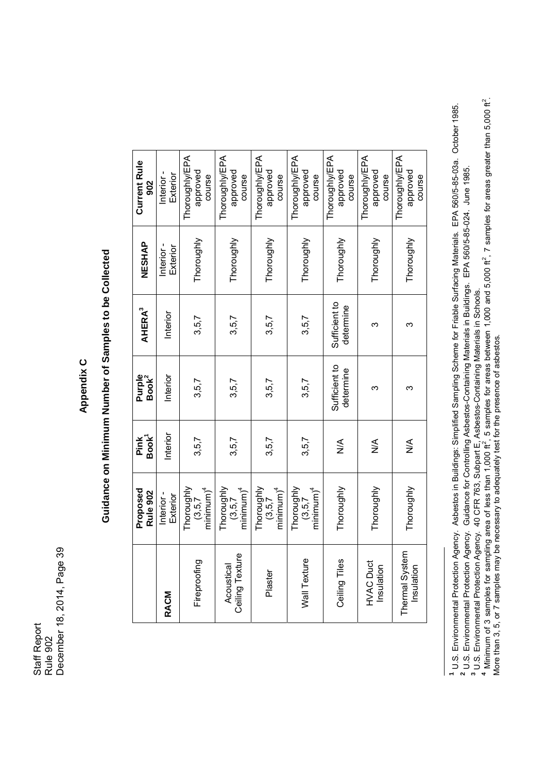### **Appendix C**

## Guidance on Minimum Number of Samples to be Collected **Guidance on Minimum Number of Samples to be Collected**

|                                | Proposed<br>Rule 902                   | Book <sup>1</sup><br>Pink | Purple<br>Book <sup>2</sup> | AHERA <sup>3</sup>         | <b>AVHSHAP</b>       | <b>Current Rule</b><br>$\frac{2}{3}$        |
|--------------------------------|----------------------------------------|---------------------------|-----------------------------|----------------------------|----------------------|---------------------------------------------|
| RACM                           | Interior-<br>Exterior                  | Interior                  | Interior                    | Interior                   | Exterior<br>Interior | Exterior<br>Interior                        |
| Fireproofing                   | Thoroughly<br>$minimum)^4$<br>(3.5, 7) | 3,5,7                     | 3,5,7                       | 3,5,7                      | Thoroughly           | <b>Thoroughly/EPA</b><br>approved<br>course |
| Ceiling Texture<br>Acoustical  | Thoroughly<br>$minimum)^4$<br>(3,5,7)  | 3,5,7                     | 3,5,7                       | 3,5,7                      | Thoroughly           | Thoroughly/EPA<br>approved<br>course        |
| Plaster                        | Thoroughly<br>$minimum)^4$<br>(3,5,7)  | 3,5,7                     | 3,5,7                       | 3,5,7                      | Thoroughly           | Thoroughly/EPA<br>approved<br>course        |
| Wall Texture                   | Thoroughly<br>$minimum)^4$<br>(3,5,7)  | 3,5,7                     | 3,5,7                       | 3,5,7                      | Thoroughly           | Thoroughly/EPA<br>approved<br>course        |
| Ceiling Tiles                  | Thoroughly                             | ⋚                         | Sufficient to<br>determine  | Sufficient to<br>determine | Thoroughly           | Thoroughly/EPA<br>approved<br>course        |
| <b>HVAC Duct</b><br>Insulation | Thoroughly                             | ≸                         | ო                           | ო                          | Thoroughly           | Thoroughly/EPA<br>pevoudde<br>course        |
| Thermal System<br>Insulation   | Thoroughly                             | ≸                         | ω                           | ო                          | Thoroughly           | Thoroughly/EPA<br>pevoudde<br>course        |

**<sup>1</sup>**U.S. Environmental Protection Agency. Asbestos in Buildings: Simplified Sampling Scheme for Friable Surfacing Materials. EPA 560/5-85-03a. October 1985.

**<sup>2</sup>**<br>3 U.S. Environmental Protection Agency. Guidance for Controlling Asbestos-Containing Materials in Buildings. EPA 560/5-85-024. June 1985.

<sup>\*</sup> U.S. Environmental Protection Agency. 40 CFR 763, Subpart E, Asbestos-Containing Materials in Schools.<br><sup>4</sup> Minimum of 3 samples for sampling area of less than 1,000 ft<sup>2</sup>, 5 samples for areas between 1,000 and 5,000 ft<sup>2</sup>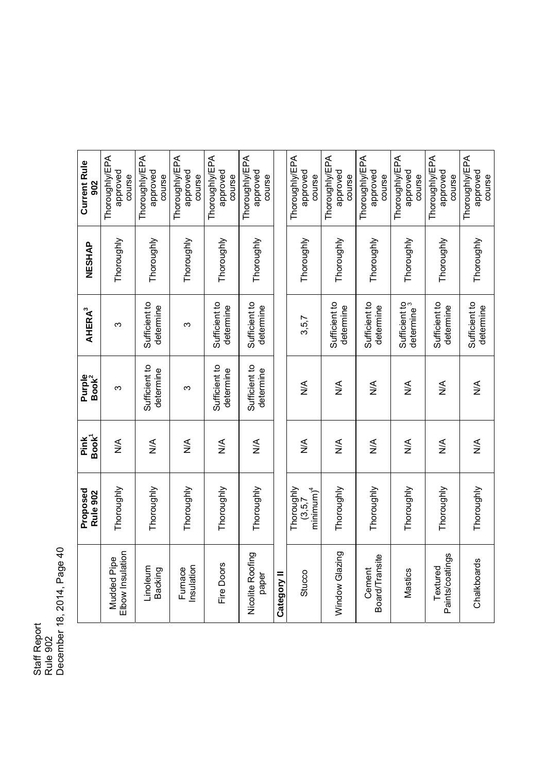Staff Report Staff Report<br>Rule 902<br>December 18, 2014, Page 40 December 18, 2014, Page 40

| <b>Current Rule</b><br>902  | Thoroughly/EPA<br>pevoudde<br>course | Thoroughly/EPA<br>approved<br>course | Thoroughly/EPA<br>approved<br>course | Thoroughly/EPA<br>approved<br>course | Thoroughly/EPA<br>pevoudde<br>course |             | Thoroughly/EPA<br>approved<br>course    | Thoroughly/EPA<br>approved<br>course | Thoroughly/EPA<br>approved<br>course | Thoroughly/EPA<br>approved<br>course    | Thoroughly/EPA<br>approved<br>course | Thoroughly/EPA<br>approved<br>course |
|-----------------------------|--------------------------------------|--------------------------------------|--------------------------------------|--------------------------------------|--------------------------------------|-------------|-----------------------------------------|--------------------------------------|--------------------------------------|-----------------------------------------|--------------------------------------|--------------------------------------|
| NESHAP                      | Thoroughly                           | Thoroughly                           | Thoroughly                           | Thoroughly                           | Thoroughly                           |             | Thoroughly                              | Thoroughly                           | Thoroughly                           | Thoroughly                              | Thoroughly                           | Thoroughly                           |
| AHERA <sup>3</sup>          | ω                                    | Sufficient to<br>determine           | ო                                    | Sufficient to<br>determine           | Sufficient to<br>determine           |             | 3,5,7                                   | Sufficient to<br>determine           | Sufficient to<br>determine           | Sufficient to<br>determine <sup>3</sup> | Sufficient to<br>determine           | Sufficient to<br>determine           |
| Purple<br>Book <sup>2</sup> | ω                                    | Sufficient to<br>determine           | ო                                    | Sufficient to<br>determine           | Sufficient to<br>determine           |             | ⋚                                       | $\frac{1}{2}$                        | $\frac{1}{2}$                        | $\frac{4}{5}$                           | ⋚                                    | $\frac{1}{2}$                        |
| Book <sup>1</sup><br>Pink   | $\frac{1}{2}$                        | $\frac{1}{2}$                        | $\frac{1}{2}$                        | $\frac{1}{2}$                        | $\frac{1}{2}$                        |             | $\frac{1}{2}$                           | $\frac{1}{2}$                        | $\frac{1}{2}$                        | $\frac{1}{2}$                           | ⋚                                    | ⋚                                    |
| Proposed<br>Rule 902        | Thoroughly                           | Thoroughly                           | Thoroughly                           | Thoroughly                           | Thoroughly                           |             | Thoroughly<br>$minimum)^4$<br>(3, 5, 7) | Thoroughly                           | Thoroughly                           | Thoroughly                              | Thoroughly                           | Thoroughly                           |
|                             | Elbow Insulation<br>Mudded Pipe      | Linoleum<br><b>Backing</b>           | Insulation<br>Furnace                | Fire Doors                           | Nicolite Roofing<br>paper            | Category II | Stucco                                  | Window Glazing                       | Board/Transite<br>Cement             | Mastics                                 | Paints/coatings<br>Textured          | Chalkboards                          |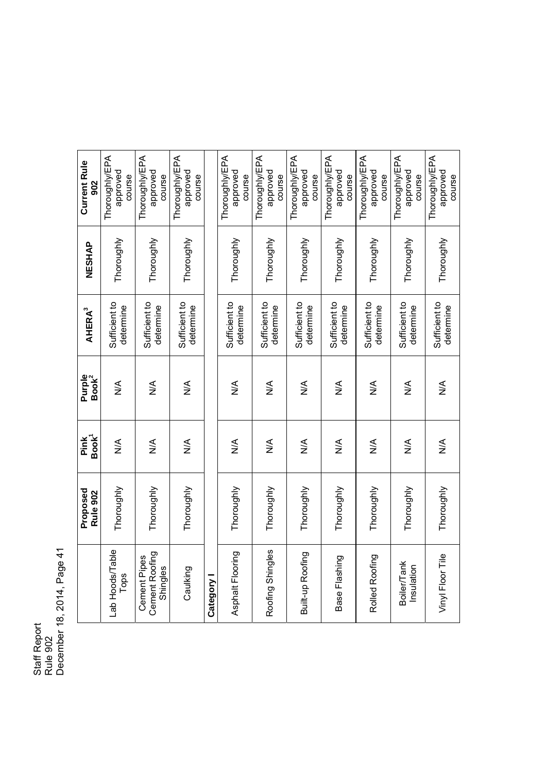$\frac{4}{7}$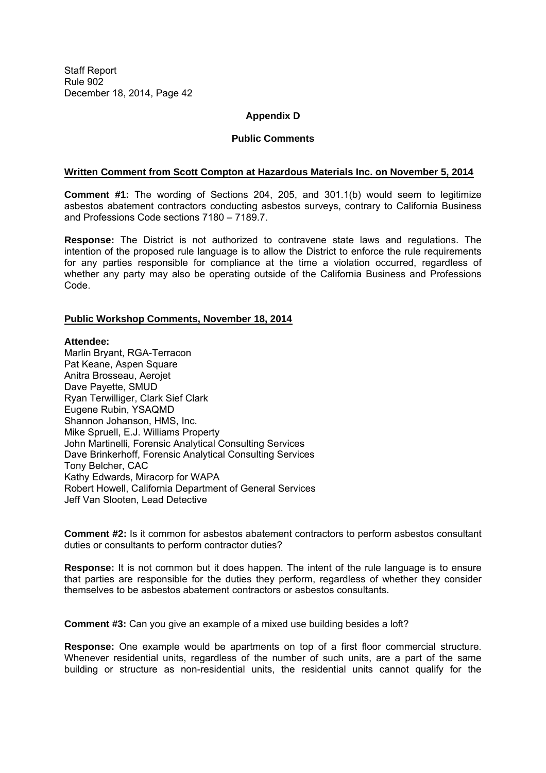### **Appendix D**

### **Public Comments**

### **Written Comment from Scott Compton at Hazardous Materials Inc. on November 5, 2014**

**Comment #1:** The wording of Sections 204, 205, and 301.1(b) would seem to legitimize asbestos abatement contractors conducting asbestos surveys, contrary to California Business and Professions Code sections 7180 - 7189.7.

**Response:** The District is not authorized to contravene state laws and regulations. The intention of the proposed rule language is to allow the District to enforce the rule requirements for any parties responsible for compliance at the time a violation occurred, regardless of whether any party may also be operating outside of the California Business and Professions Code.

### **Public Workshop Comments, November 18, 2014**

### **Attendee:**

Marlin Bryant, RGA-Terracon Pat Keane, Aspen Square Anitra Brosseau, Aerojet Dave Payette, SMUD Ryan Terwilliger, Clark Sief Clark Eugene Rubin, YSAQMD Shannon Johanson, HMS, Inc. Mike Spruell, E.J. Williams Property John Martinelli, Forensic Analytical Consulting Services Dave Brinkerhoff, Forensic Analytical Consulting Services Tony Belcher, CAC Kathy Edwards, Miracorp for WAPA Robert Howell, California Department of General Services Jeff Van Slooten, Lead Detective

**Comment #2:** Is it common for asbestos abatement contractors to perform asbestos consultant duties or consultants to perform contractor duties?

**Response:** It is not common but it does happen. The intent of the rule language is to ensure that parties are responsible for the duties they perform, regardless of whether they consider themselves to be asbestos abatement contractors or asbestos consultants.

**Comment #3:** Can you give an example of a mixed use building besides a loft?

**Response:** One example would be apartments on top of a first floor commercial structure. Whenever residential units, regardless of the number of such units, are a part of the same building or structure as non-residential units, the residential units cannot qualify for the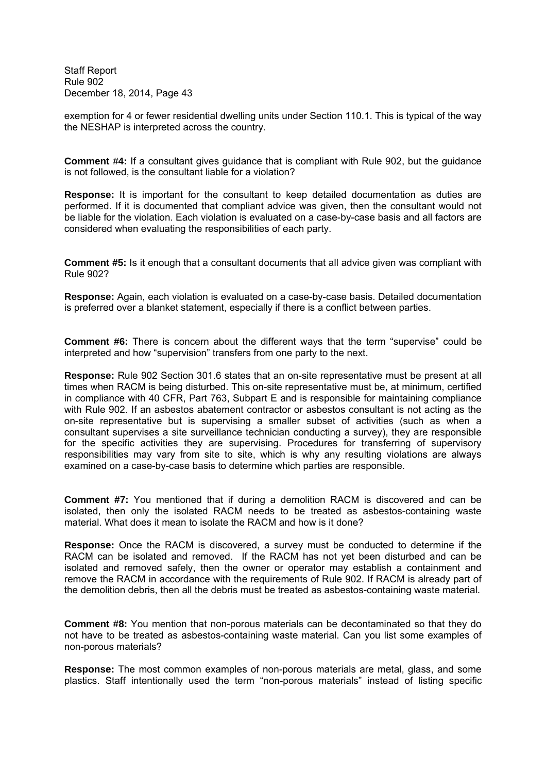exemption for 4 or fewer residential dwelling units under Section 110.1. This is typical of the way the NESHAP is interpreted across the country.

**Comment #4:** If a consultant gives guidance that is compliant with Rule 902, but the guidance is not followed, is the consultant liable for a violation?

**Response:** It is important for the consultant to keep detailed documentation as duties are performed. If it is documented that compliant advice was given, then the consultant would not be liable for the violation. Each violation is evaluated on a case-by-case basis and all factors are considered when evaluating the responsibilities of each party.

**Comment #5:** Is it enough that a consultant documents that all advice given was compliant with Rule 902?

**Response:** Again, each violation is evaluated on a case-by-case basis. Detailed documentation is preferred over a blanket statement, especially if there is a conflict between parties.

**Comment #6:** There is concern about the different ways that the term "supervise" could be interpreted and how "supervision" transfers from one party to the next.

**Response:** Rule 902 Section 301.6 states that an on-site representative must be present at all times when RACM is being disturbed. This on-site representative must be, at minimum, certified in compliance with 40 CFR, Part 763, Subpart E and is responsible for maintaining compliance with Rule 902. If an asbestos abatement contractor or asbestos consultant is not acting as the on-site representative but is supervising a smaller subset of activities (such as when a consultant supervises a site surveillance technician conducting a survey), they are responsible for the specific activities they are supervising. Procedures for transferring of supervisory responsibilities may vary from site to site, which is why any resulting violations are always examined on a case-by-case basis to determine which parties are responsible.

**Comment #7:** You mentioned that if during a demolition RACM is discovered and can be isolated, then only the isolated RACM needs to be treated as asbestos-containing waste material. What does it mean to isolate the RACM and how is it done?

**Response:** Once the RACM is discovered, a survey must be conducted to determine if the RACM can be isolated and removed. If the RACM has not yet been disturbed and can be isolated and removed safely, then the owner or operator may establish a containment and remove the RACM in accordance with the requirements of Rule 902. If RACM is already part of the demolition debris, then all the debris must be treated as asbestos-containing waste material.

**Comment #8:** You mention that non-porous materials can be decontaminated so that they do not have to be treated as asbestos-containing waste material. Can you list some examples of non-porous materials?

**Response:** The most common examples of non-porous materials are metal, glass, and some plastics. Staff intentionally used the term "non-porous materials" instead of listing specific